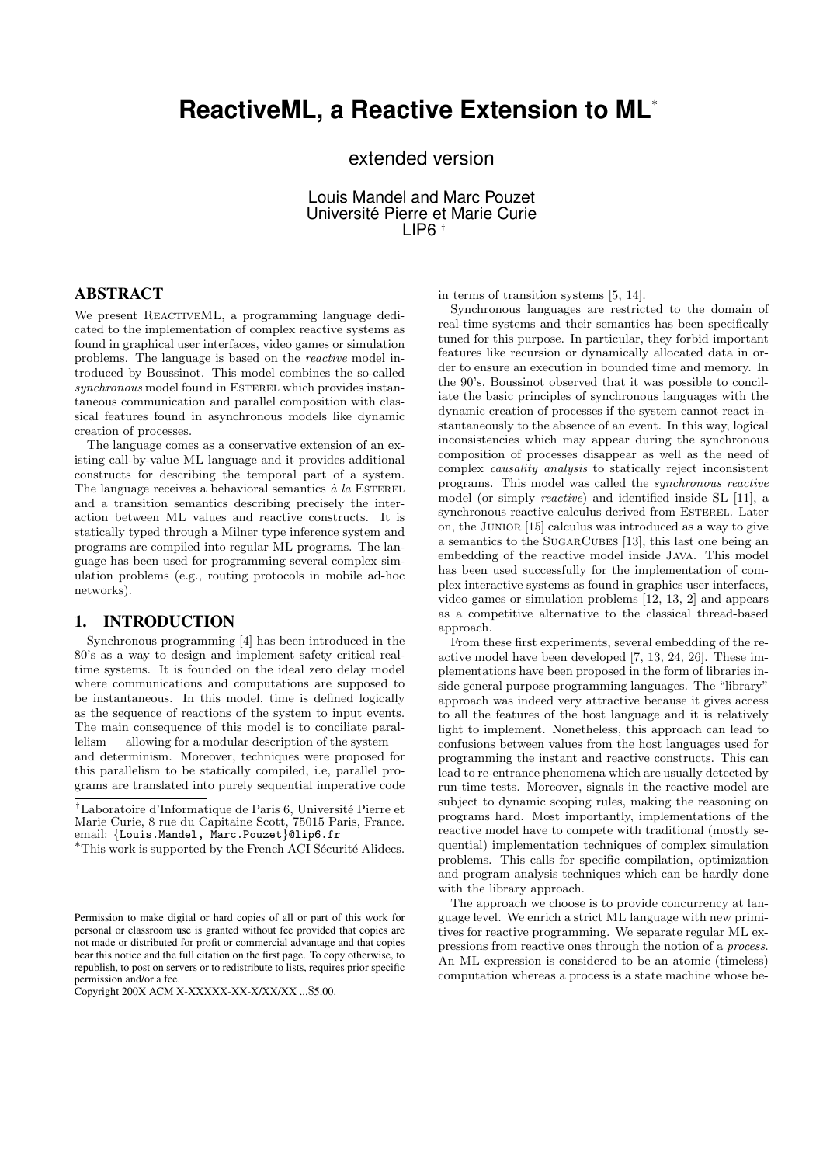# **ReactiveML, a Reactive Extension to ML**<sup>∗</sup>

extended version

Louis Mandel and Marc Pouzet Université Pierre et Marie Curie LIP6 †

# **ABSTRACT**

We present REACTIVEML, a programming language dedicated to the implementation of complex reactive systems as found in graphical user interfaces, video games or simulation problems. The language is based on the reactive model introduced by Boussinot. This model combines the so-called synchronous model found in ESTEREL which provides instantaneous communication and parallel composition with classical features found in asynchronous models like dynamic creation of processes.

The language comes as a conservative extension of an existing call-by-value ML language and it provides additional constructs for describing the temporal part of a system. The language receives a behavioral semantics  $\dot{a}$  la ESTEREL and a transition semantics describing precisely the interaction between ML values and reactive constructs. It is statically typed through a Milner type inference system and programs are compiled into regular ML programs. The language has been used for programming several complex simulation problems (e.g., routing protocols in mobile ad-hoc networks).

# **1. INTRODUCTION**

Synchronous programming [4] has been introduced in the 80's as a way to design and implement safety critical realtime systems. It is founded on the ideal zero delay model where communications and computations are supposed to be instantaneous. In this model, time is defined logically as the sequence of reactions of the system to input events. The main consequence of this model is to conciliate paral- $\text{lelim}$  — allowing for a modular description of the system  $\cdot$ and determinism. Moreover, techniques were proposed for this parallelism to be statically compiled, i.e, parallel programs are translated into purely sequential imperative code in terms of transition systems [5, 14].

Synchronous languages are restricted to the domain of real-time systems and their semantics has been specifically tuned for this purpose. In particular, they forbid important features like recursion or dynamically allocated data in order to ensure an execution in bounded time and memory. In the 90's, Boussinot observed that it was possible to conciliate the basic principles of synchronous languages with the dynamic creation of processes if the system cannot react instantaneously to the absence of an event. In this way, logical inconsistencies which may appear during the synchronous composition of processes disappear as well as the need of complex causality analysis to statically reject inconsistent programs. This model was called the synchronous reactive model (or simply reactive) and identified inside SL [11], a synchronous reactive calculus derived from ESTEREL. Later on, the Junior [15] calculus was introduced as a way to give a semantics to the SUGARCUBES [13], this last one being an embedding of the reactive model inside Java. This model has been used successfully for the implementation of complex interactive systems as found in graphics user interfaces, video-games or simulation problems [12, 13, 2] and appears as a competitive alternative to the classical thread-based approach.

From these first experiments, several embedding of the reactive model have been developed [7, 13, 24, 26]. These implementations have been proposed in the form of libraries inside general purpose programming languages. The "library" approach was indeed very attractive because it gives access to all the features of the host language and it is relatively light to implement. Nonetheless, this approach can lead to confusions between values from the host languages used for programming the instant and reactive constructs. This can lead to re-entrance phenomena which are usually detected by run-time tests. Moreover, signals in the reactive model are subject to dynamic scoping rules, making the reasoning on programs hard. Most importantly, implementations of the reactive model have to compete with traditional (mostly sequential) implementation techniques of complex simulation problems. This calls for specific compilation, optimization and program analysis techniques which can be hardly done with the library approach.

The approach we choose is to provide concurrency at language level. We enrich a strict ML language with new primitives for reactive programming. We separate regular ML expressions from reactive ones through the notion of a process. An ML expression is considered to be an atomic (timeless) computation whereas a process is a state machine whose be-

<sup>&</sup>lt;sup>†</sup>Laboratoire d'Informatique de Paris 6, Université Pierre et Marie Curie, 8 rue du Capitaine Scott, 75015 Paris, France. email: {Louis.Mandel, Marc.Pouzet}@lip6.fr

<sup>\*</sup>This work is supported by the French ACI Sécurité Alidecs.

Permission to make digital or hard copies of all or part of this work for personal or classroom use is granted without fee provided that copies are not made or distributed for profit or commercial advantage and that copies bear this notice and the full citation on the first page. To copy otherwise, to republish, to post on servers or to redistribute to lists, requires prior specific permission and/or a fee.

Copyright 200X ACM X-XXXXX-XX-X/XX/XX ...\$5.00.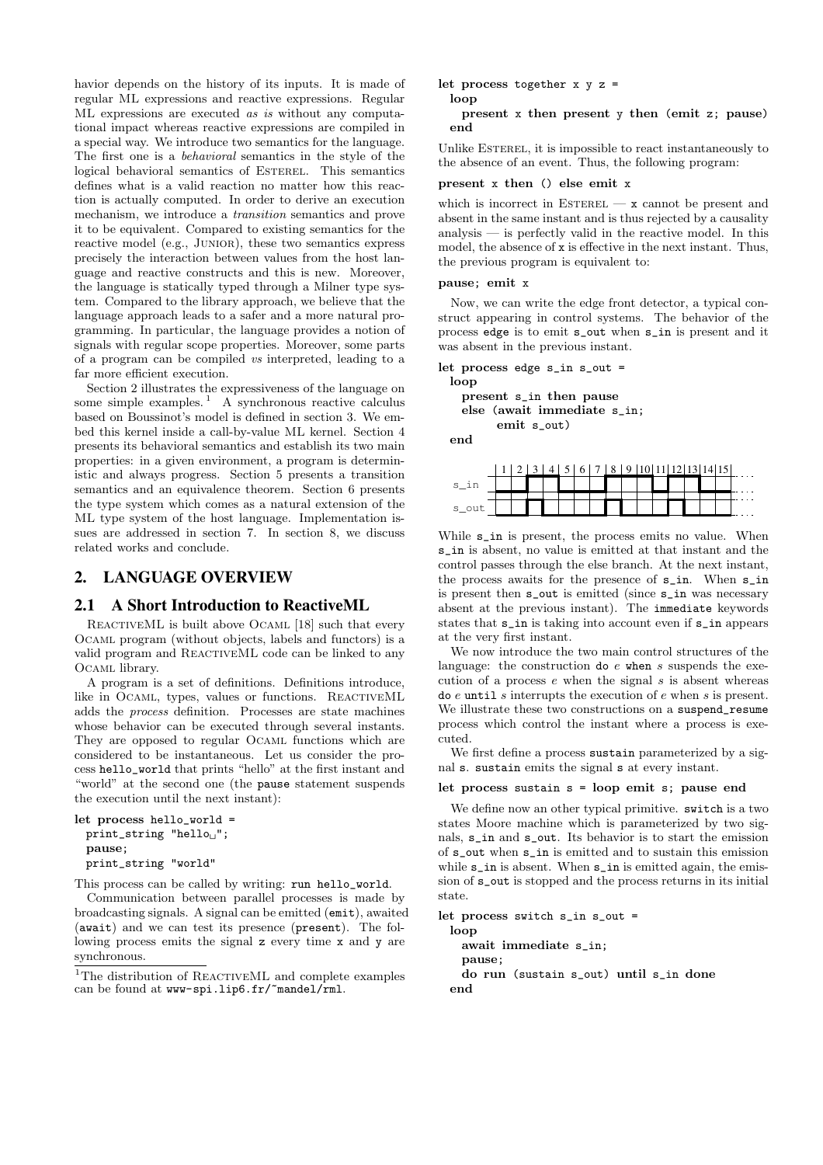havior depends on the history of its inputs. It is made of regular ML expressions and reactive expressions. Regular ML expressions are executed *as is* without any computational impact whereas reactive expressions are compiled in a special way. We introduce two semantics for the language. The first one is a behavioral semantics in the style of the logical behavioral semantics of ESTEREL. This semantics defines what is a valid reaction no matter how this reaction is actually computed. In order to derive an execution mechanism, we introduce a transition semantics and prove it to be equivalent. Compared to existing semantics for the reactive model (e.g., JUNIOR), these two semantics express precisely the interaction between values from the host language and reactive constructs and this is new. Moreover, the language is statically typed through a Milner type system. Compared to the library approach, we believe that the language approach leads to a safer and a more natural programming. In particular, the language provides a notion of signals with regular scope properties. Moreover, some parts of a program can be compiled vs interpreted, leading to a far more efficient execution.

Section 2 illustrates the expressiveness of the language on some simple examples.<sup>1</sup> A synchronous reactive calculus based on Boussinot's model is defined in section 3. We embed this kernel inside a call-by-value ML kernel. Section 4 presents its behavioral semantics and establish its two main properties: in a given environment, a program is deterministic and always progress. Section 5 presents a transition semantics and an equivalence theorem. Section 6 presents the type system which comes as a natural extension of the ML type system of the host language. Implementation issues are addressed in section 7. In section 8, we discuss related works and conclude.

# **2. LANGUAGE OVERVIEW**

#### **2.1 A Short Introduction to ReactiveML**

REACTIVEML is built above OCAML [18] such that every Ocaml program (without objects, labels and functors) is a valid program and REACTIVEML code can be linked to any Ocaml library.

A program is a set of definitions. Definitions introduce, like in Ocaml, types, values or functions. ReactiveML adds the process definition. Processes are state machines whose behavior can be executed through several instants. They are opposed to regular Ocaml functions which are considered to be instantaneous. Let us consider the process hello\_world that prints "hello" at the first instant and "world" at the second one (the pause statement suspends the execution until the next instant):

```
let process hello_world =
 print_string "hello<sub>u</sub>";
  pause;
  print_string "world"
```
This process can be called by writing: run hello\_world.

Communication between parallel processes is made by broadcasting signals. A signal can be emitted (emit), awaited (await) and we can test its presence (present). The following process emits the signal z every time x and y are synchronous.

#### let process together x y z = loop present x then present y then (emit z; pause) end

Unlike ESTEREL, it is impossible to react instantaneously to the absence of an event. Thus, the following program:

#### present x then () else emit x

which is incorrect in ESTEREL  $- x$  cannot be present and absent in the same instant and is thus rejected by a causality analysis — is perfectly valid in the reactive model. In this model, the absence of x is effective in the next instant. Thus, the previous program is equivalent to:

#### pause; emit x

Now, we can write the edge front detector, a typical construct appearing in control systems. The behavior of the process edge is to emit s\_out when s\_in is present and it was absent in the previous instant.

#### let process edge s\_in s\_out =

loop

```
present s_in then pause
else (await immediate s_in;
     emit s_out)
```
end

|           |  |  | $\leq$ 1 |  |  | 6 7 8 9 10 11 12 13 14 15 |  |  |  |  |
|-----------|--|--|----------|--|--|---------------------------|--|--|--|--|
| ח ד<br>e  |  |  |          |  |  |                           |  |  |  |  |
|           |  |  |          |  |  |                           |  |  |  |  |
| out<br>-S |  |  |          |  |  |                           |  |  |  |  |

While  $s$ <sub>in</sub> is present, the process emits no value. When s\_in is absent, no value is emitted at that instant and the control passes through the else branch. At the next instant, the process awaits for the presence of s in. When s in is present then s\_out is emitted (since s\_in was necessary absent at the previous instant). The immediate keywords states that  $s$ <sub>in</sub> is taking into account even if  $s$ <sub>in</sub> appears at the very first instant.

We now introduce the two main control structures of the language: the construction do  $e$  when  $s$  suspends the execution of a process  $e$  when the signal  $s$  is absent whereas do  $e$  until  $s$  interrupts the execution of  $e$  when  $s$  is present. We illustrate these two constructions on a suspend\_resume process which control the instant where a process is executed.

We first define a process sustain parameterized by a signal s. sustain emits the signal s at every instant.

#### let process sustain s = loop emit s; pause end

We define now an other typical primitive. switch is a two states Moore machine which is parameterized by two signals, s\_in and s\_out. Its behavior is to start the emission of s\_out when s\_in is emitted and to sustain this emission while  $s$  in is absent. When  $s$  in is emitted again, the emission of s\_out is stopped and the process returns in its initial state.

let process switch s\_in s\_out = loop await immediate s\_in; pause;

```
do run (sustain s_out) until s_in done
end
```
<sup>&</sup>lt;sup>1</sup>The distribution of REACTIVEML and complete examples can be found at www-spi.lip6.fr/~mandel/rml.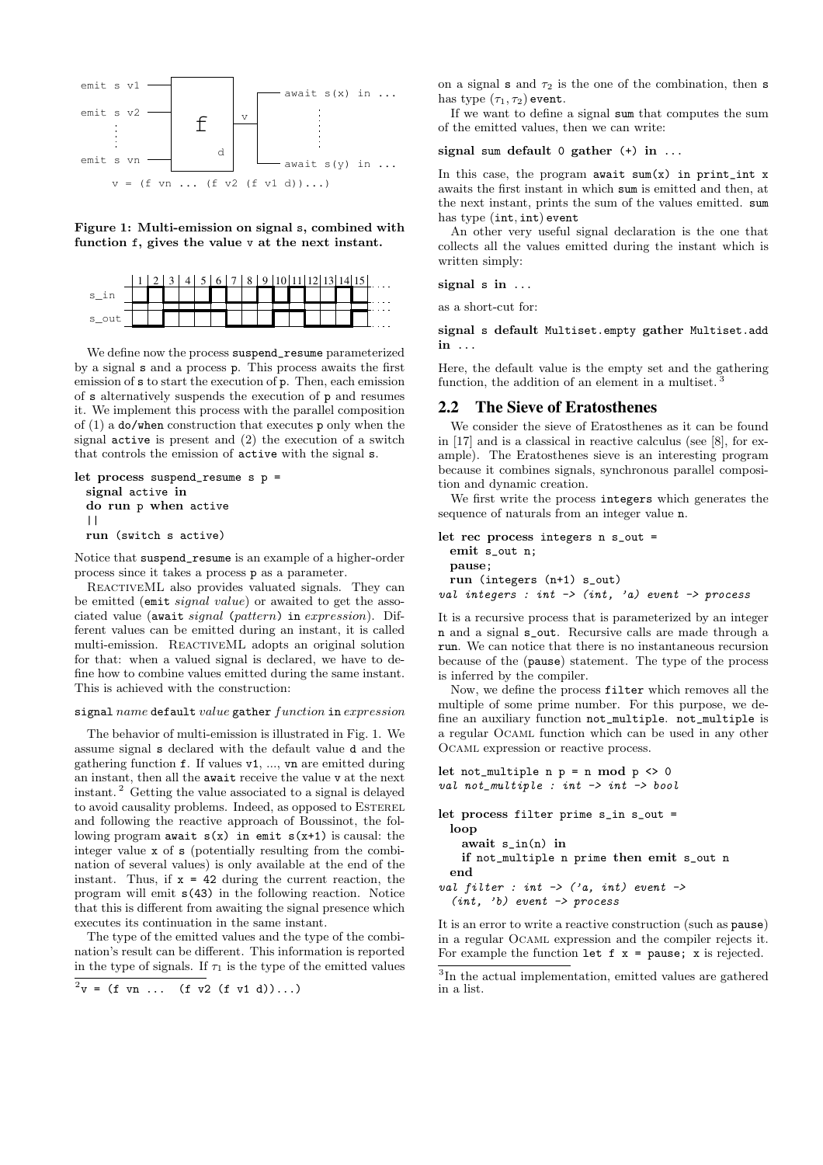

Figure 1: Multi-emission on signal s, combined with function f, gives the value v at the next instant.



We define now the process suspend\_resume parameterized by a signal s and a process p. This process awaits the first emission of s to start the execution of p. Then, each emission of s alternatively suspends the execution of p and resumes it. We implement this process with the parallel composition of (1) a do/when construction that executes p only when the signal active is present and (2) the execution of a switch that controls the emission of active with the signal s.

```
let process suspend_resume s p =
 signal active in
 do run p when active
 | \ |run (switch s active)
```
Notice that suspend\_resume is an example of a higher-order process since it takes a process p as a parameter.

ReactiveML also provides valuated signals. They can be emitted (emit signal value) or awaited to get the associated value (await signal (pattern) in expression). Different values can be emitted during an instant, it is called multi-emission. REACTIVEML adopts an original solution for that: when a valued signal is declared, we have to define how to combine values emitted during the same instant. This is achieved with the construction:

#### signal name default value gather function in expression

The behavior of multi-emission is illustrated in Fig. 1. We assume signal s declared with the default value d and the gathering function f. If values v1, ..., vn are emitted during an instant, then all the await receive the value v at the next instant. <sup>2</sup> Getting the value associated to a signal is delayed to avoid causality problems. Indeed, as opposed to ESTEREL and following the reactive approach of Boussinot, the following program await  $s(x)$  in emit  $s(x+1)$  is causal: the integer value x of s (potentially resulting from the combination of several values) is only available at the end of the instant. Thus, if  $x = 42$  during the current reaction, the program will emit s(43) in the following reaction. Notice that this is different from awaiting the signal presence which executes its continuation in the same instant.

The type of the emitted values and the type of the combination's result can be different. This information is reported in the type of signals. If  $\tau_1$  is the type of the emitted values

```
v^2v = (f vn ... (f v2 (f v1 d))...)
```
on a signal s and  $\tau_2$  is the one of the combination, then s has type  $(\tau_1, \tau_2)$  event.

If we want to define a signal sum that computes the sum of the emitted values, then we can write:

#### signal sum default  $0$  gather  $(+)$  in ...

In this case, the program await  $sum(x)$  in print\_int x awaits the first instant in which sum is emitted and then, at the next instant, prints the sum of the values emitted. sum has type (int, int) event

An other very useful signal declaration is the one that collects all the values emitted during the instant which is written simply:

#### signal s in ...

as a short-cut for:

signal s default Multiset.empty gather Multiset.add in ...

Here, the default value is the empty set and the gathering function, the addition of an element in a multiset.

#### **2.2 The Sieve of Eratosthenes**

We consider the sieve of Eratosthenes as it can be found in [17] and is a classical in reactive calculus (see [8], for example). The Eratosthenes sieve is an interesting program because it combines signals, synchronous parallel composition and dynamic creation.

We first write the process integers which generates the sequence of naturals from an integer value n.

```
let rec process integers n s_out =
 emit s_out n;
  pause;
 run (integers (n+1) s_out)
val integers : int \rightarrow (int, 'a) event \rightarrow process
```
It is a recursive process that is parameterized by an integer n and a signal s\_out. Recursive calls are made through a run. We can notice that there is no instantaneous recursion because of the (pause) statement. The type of the process is inferred by the compiler.

Now, we define the process filter which removes all the multiple of some prime number. For this purpose, we define an auxiliary function not\_multiple. not\_multiple is a regular Ocaml function which can be used in any other Ocaml expression or reactive process.

```
let not_multiple n p = n mod p <> 0
val not_multiple : int -> int -> bool
let process filter prime s_in s_out =
 loop
   await s_in(n) in
   if not_multiple n prime then emit s_out n
 end
```

```
val filter : int \rightarrow ('a, int) event \rightarrow(int, 'b) event \rightarrow process
```
It is an error to write a reactive construction (such as pause) in a regular Ocaml expression and the compiler rejects it. For example the function let  $f \times x = \text{parse}$ ; x is rejected.

<sup>3</sup> In the actual implementation, emitted values are gathered in a list.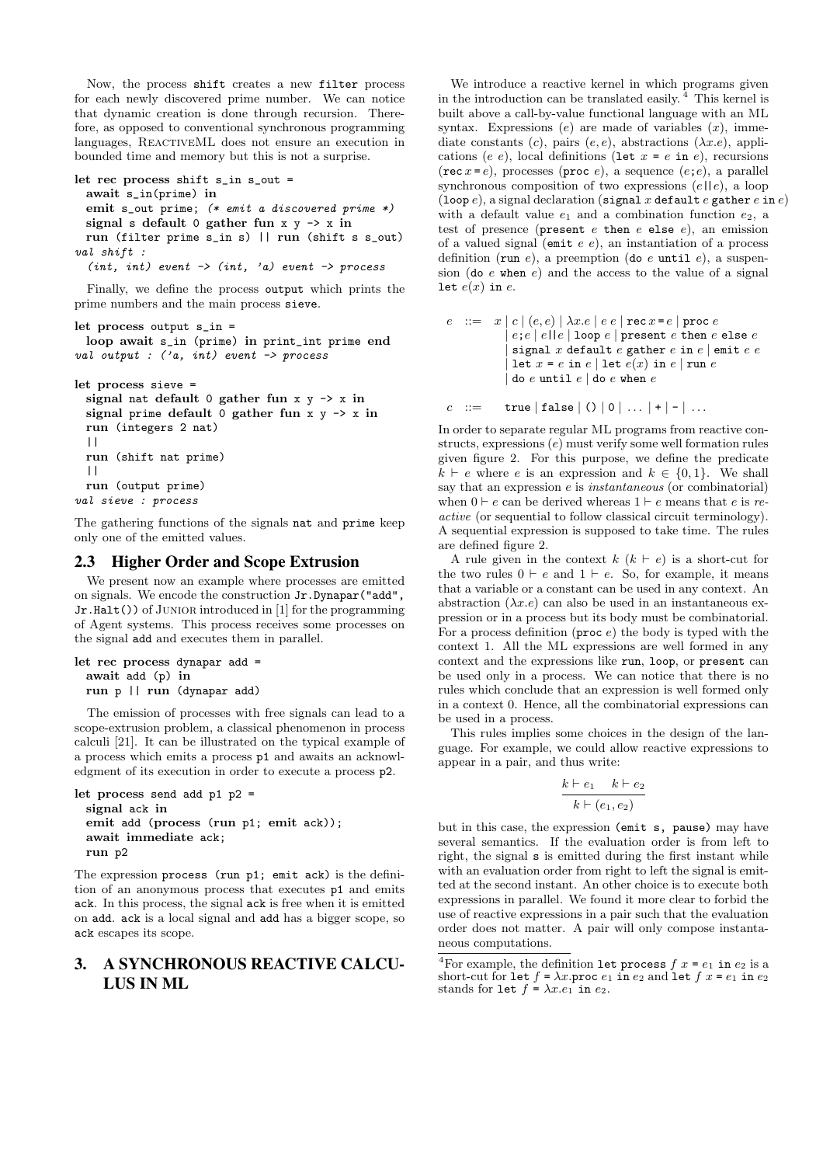Now, the process shift creates a new filter process for each newly discovered prime number. We can notice that dynamic creation is done through recursion. Therefore, as opposed to conventional synchronous programming languages, REACTIVEML does not ensure an execution in bounded time and memory but this is not a surprise.

```
let rec process shift s_in s_out =
 await s_in(prime) in
 emit s_out prime; (* emit a discovered prime *)
 signal s default 0 gather fun x y \rightarrow x in
 run (filter prime s_in s) || run (shift s s_out)
val shift :
  (int, int) event \rightarrow (int, 'a) event \rightarrow process
```
Finally, we define the process output which prints the prime numbers and the main process sieve.

```
let process output s_in =
 loop await s_in (prime) in print_int prime end
val output : ('a, int) event -> process
```

```
let process sieve =
  signal nat default 0 gather fun x \ y \rightarrow x in
  signal prime default 0 gather fun x y \rightarrow x in
  run (integers 2 nat)
  | \cdot |run (shift nat prime)
  | \ |run (output prime)
val sieve : process
```
The gathering functions of the signals nat and prime keep only one of the emitted values.

# **2.3 Higher Order and Scope Extrusion**

We present now an example where processes are emitted on signals. We encode the construction Jr.Dynapar("add", Jr.Halt()) of JUNIOR introduced in [1] for the programming of Agent systems. This process receives some processes on the signal add and executes them in parallel.

```
let rec process dynapar add =
 await add (p) in
 run p || run (dynapar add)
```
The emission of processes with free signals can lead to a scope-extrusion problem, a classical phenomenon in process calculi [21]. It can be illustrated on the typical example of a process which emits a process p1 and awaits an acknowledgment of its execution in order to execute a process p2.

```
let process send add p1 p2 =
 signal ack in
 emit add (process (run p1; emit ack));
 await immediate ack;
 run p2
```
The expression process (run p1; emit ack) is the definition of an anonymous process that executes p1 and emits ack. In this process, the signal ack is free when it is emitted on add. ack is a local signal and add has a bigger scope, so ack escapes its scope.

# **3. A SYNCHRONOUS REACTIVE CALCU-LUS IN ML**

We introduce a reactive kernel in which programs given in the introduction can be translated easily. <sup>4</sup> This kernel is built above a call-by-value functional language with an ML syntax. Expressions  $(e)$  are made of variables  $(x)$ , immediate constants (c), pairs (e, e), abstractions  $(\lambda x.e)$ , applications (e e), local definitions (let  $x = e$  in e), recursions  $(\texttt{rec} \, x = e)$ , processes (proc e), a sequence  $(e; e)$ , a parallel synchronous composition of two expressions  $(e||e)$ , a loop (loop  $e$ ), a signal declaration (signal x default e gather  $e$  in  $e$ ) with a default value  $e_1$  and a combination function  $e_2$ , a test of presence (present  $e$  then  $e$  else  $e$ ), an emission of a valued signal (emit  $e$  e), an instantiation of a process definition (run e), a preemption (do e until e), a suspension (do  $e$  when  $e$ ) and the access to the value of a signal let  $e(x)$  in  $e$ .

```
e := x | c | (e, e) | \lambda x . e | e e | \text{rec } x = e | \text{proc } e|e;e| |e| |e| |log e| present e then e else esignal x default e gather e in e | emit e elet x = e in e | let e(x) in e | run e| do e until e | do e when e
```

```
c := true | false | () | 0 | ... | + | - | ...
```
In order to separate regular ML programs from reactive constructs, expressions (e) must verify some well formation rules given figure 2. For this purpose, we define the predicate  $k \vdash e$  where e is an expression and  $k \in \{0, 1\}$ . We shall say that an expression *e* is *instantaneous* (or combinatorial) when  $0 \vdash e$  can be derived whereas  $1 \vdash e$  means that e is reactive (or sequential to follow classical circuit terminology). A sequential expression is supposed to take time. The rules are defined figure 2.

A rule given in the context  $k (k \vdash e)$  is a short-cut for the two rules  $0 \vdash e$  and  $1 \vdash e$ . So, for example, it means that a variable or a constant can be used in any context. An abstraction  $(\lambda x.e)$  can also be used in an instantaneous expression or in a process but its body must be combinatorial. For a process definition ( $\mathbf{proc}\ e$ ) the body is typed with the context 1. All the ML expressions are well formed in any context and the expressions like run, loop, or present can be used only in a process. We can notice that there is no rules which conclude that an expression is well formed only in a context 0. Hence, all the combinatorial expressions can be used in a process.

This rules implies some choices in the design of the language. For example, we could allow reactive expressions to appear in a pair, and thus write:

$$
\frac{k \vdash e_1 \quad k \vdash e_2}{k \vdash (e_1, e_2)}
$$

but in this case, the expression (emit s, pause) may have several semantics. If the evaluation order is from left to right, the signal s is emitted during the first instant while with an evaluation order from right to left the signal is emitted at the second instant. An other choice is to execute both expressions in parallel. We found it more clear to forbid the use of reactive expressions in a pair such that the evaluation order does not matter. A pair will only compose instantaneous computations.

<sup>&</sup>lt;sup>4</sup>For example, the definition let process  $f(x) = e_1$  in  $e_2$  is a short-cut for let  $f = \lambda x$ .proc  $e_1$  in  $e_2$  and let  $f$   $x = e_1$  in  $e_2$ stands for let  $f = \lambda x.e_1$  in  $e_2$ .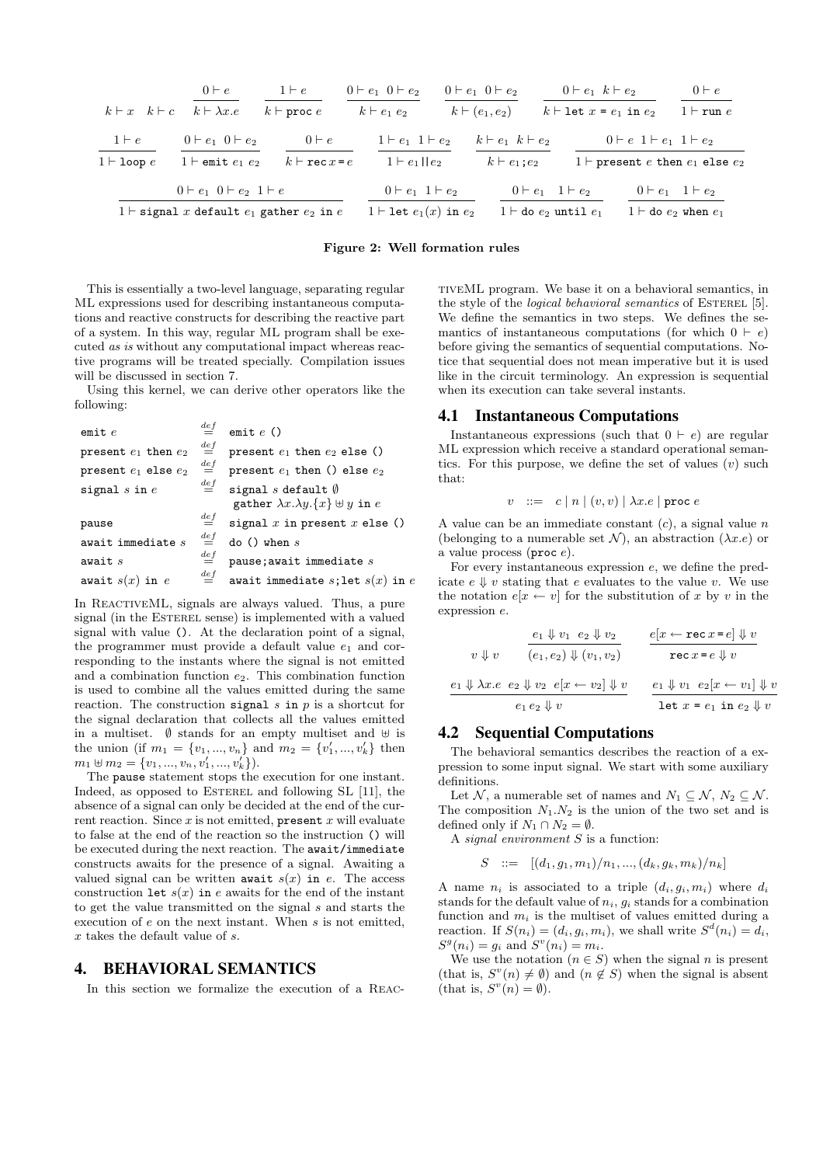|                                                          | $0 \vdash e$                               | $1 \vdash e$                                          | $0 \vdash e_1 \ 0 \vdash e_2$    | $0 \vdash e_1 \ 0 \vdash e_2$  | $0 \vdash e_1 \ k \vdash e_2$     | $0 \vdash e$                              |
|----------------------------------------------------------|--------------------------------------------|-------------------------------------------------------|----------------------------------|--------------------------------|-----------------------------------|-------------------------------------------|
| $k \vdash x \quad k \vdash c \quad k \vdash \lambda x.e$ |                                            | $k \vdash \texttt{proc} e$                            | $k \vdash e_1 \; e_2$            | $k \vdash (e_1, e_2)$          | $k \vdash$ let $x = e_1$ in $e_2$ | $1 \vdash \mathtt{run}\ e$                |
| $1 \vdash e$                                             | $0 \vdash e_1 \ 0 \vdash e_2$              | $0 \vdash e$                                          | $1 \vdash e_1 1 \vdash e_2$      | $k \vdash e_1 \; k \vdash e_2$ |                                   | $0 \vdash e 1 \vdash e_1 1 \vdash e_2$    |
| $1 \vdash$ loop $e$                                      | $1 \vdash$ emit $e_1$ $e_2$                | $k \vdash \texttt{rec}\, x = e$                       | $1 \vdash e_1 \mid\mid e_2$      | $k \vdash e_1; e_2$            |                                   | $1\vdash$ present e then $e_1$ else $e_2$ |
|                                                          | $0 \vdash e_1 \ 0 \vdash e_2 \ 1 \vdash e$ |                                                       | $0 \vdash e_1 1 \vdash e_2$      |                                | $0 \vdash e_1 \quad 1 \vdash e_2$ | $0 \vdash e_1 \quad 1 \vdash e_2$         |
|                                                          |                                            | $1 \vdash$ signal x default $e_1$ gather $e_2$ in $e$ | $1 \vdash$ let $e_1(x)$ in $e_2$ |                                | $1 \vdash$ do $e_2$ until $e_1$   | $1 \vdash$ do $e_2$ when $e_1$            |

#### Figure 2: Well formation rules

This is essentially a two-level language, separating regular ML expressions used for describing instantaneous computations and reactive constructs for describing the reactive part of a system. In this way, regular ML program shall be executed as is without any computational impact whereas reactive programs will be treated specially. Compilation issues will be discussed in section 7.

Using this kernel, we can derive other operators like the following:

| emit e                   | $\stackrel{def}{=}$   | emit $e$ ()                                                                      |
|--------------------------|-----------------------|----------------------------------------------------------------------------------|
| present $e_1$ then $e_2$ | $\stackrel {def} {=}$ | present $e_1$ then $e_2$ else ()                                                 |
| present $e_1$ else $e_2$ | $\stackrel{def}{=}$   | present $e_1$ then () else $e_2$                                                 |
| signal $s$ in $e$        | $\stackrel{def}{=}$   | signal $s$ default $\emptyset$<br>gather $\lambda x.\lambda y.\{x\} \cup y$ in e |
| pause                    | $\stackrel{def}{=}$   | signal $x$ in present $x$ else ()                                                |
| await immediate $s$      | $\stackrel{def}{=}$   | do() when s                                                                      |
| await $s$                | $\stackrel{def}{=}$   | pause; await immediate s                                                         |
| await $s(x)$ in e        | $\stackrel{def}{=}$   | await immediate $s$ ; let $s(x)$ in $e$                                          |

In ReactiveML, signals are always valued. Thus, a pure signal (in the ESTEREL sense) is implemented with a valued signal with value (). At the declaration point of a signal, the programmer must provide a default value  $e_1$  and corresponding to the instants where the signal is not emitted and a combination function  $e_2$ . This combination function is used to combine all the values emitted during the same reaction. The construction signal  $s$  in  $p$  is a shortcut for the signal declaration that collects all the values emitted in a multiset.  $\emptyset$  stands for an empty multiset and  $\uplus$  is the union (if  $m_1 = \{v_1, ..., v_n\}$  and  $m_2 = \{v'_1, ..., v'_k\}$  then  $m_1 \uplus m_2 = \{v_1, ..., v_n, v'_1, ..., v'_k\}.$ 

The pause statement stops the execution for one instant. Indeed, as opposed to ESTEREL and following SL [11], the absence of a signal can only be decided at the end of the current reaction. Since  $x$  is not emitted, present  $x$  will evaluate to false at the end of the reaction so the instruction () will be executed during the next reaction. The await/immediate constructs awaits for the presence of a signal. Awaiting a valued signal can be written await  $s(x)$  in e. The access construction let  $s(x)$  in e awaits for the end of the instant to get the value transmitted on the signal s and starts the execution of  $e$  on the next instant. When  $s$  is not emitted, x takes the default value of s.

#### **4. BEHAVIORAL SEMANTICS**

In this section we formalize the execution of a Reac-

tiveML program. We base it on a behavioral semantics, in the style of the *logical behavioral semantics* of ESTEREL [5]. We define the semantics in two steps. We defines the semantics of instantaneous computations (for which  $0 \vdash e$ ) before giving the semantics of sequential computations. Notice that sequential does not mean imperative but it is used like in the circuit terminology. An expression is sequential when its execution can take several instants.

#### **4.1 Instantaneous Computations**

Instantaneous expressions (such that  $0 \vdash e$ ) are regular ML expression which receive a standard operational semantics. For this purpose, we define the set of values  $(v)$  such that:

$$
v \ ::= \ c \ | \ n \ | \ (v,v) \ | \ \lambda x . e \ | \ \hbox{\rm proc} \ e
$$

A value can be an immediate constant  $(c)$ , a signal value n (belonging to a numerable set  $\mathcal{N}$ ), an abstraction  $(\lambda x.e)$  or a value process ( $\text{proc } e$ ).

For every instantaneous expression  $e$ , we define the predicate  $e \Downarrow v$  stating that e evaluates to the value v. We use the notation  $e[x \leftarrow v]$  for the substitution of x by v in the expression e.

$$
v \Downarrow v \qquad \frac{e_1 \Downarrow v_1 \quad e_2 \Downarrow v_2}{(e_1, e_2) \Downarrow (v_1, v_2)} \qquad \frac{e[x \leftarrow \texttt{rec} \ x = e]}{\texttt{rec} \ x = e \Downarrow v}
$$
\n
$$
\frac{e_1 \Downarrow \lambda x. e \quad e_2 \Downarrow v_2 \quad e[x \leftarrow v_2] \Downarrow v}{e_1 \quad e_2 \Downarrow v} \qquad \frac{e_1 \Downarrow v_1 \quad e_2[x \leftarrow v_1] \Downarrow v}{\texttt{let} \ x = e_1 \texttt{ in } e_2 \Downarrow v}
$$

#### **4.2 Sequential Computations**

The behavioral semantics describes the reaction of a expression to some input signal. We start with some auxiliary definitions.

Let N, a numerable set of names and  $N_1 \subset \mathcal{N}, N_2 \subset \mathcal{N}$ . The composition  $N_1.N_2$  is the union of the two set and is defined only if  $N_1 \cap N_2 = \emptyset$ .

A signal environment  $S$  is a function:

$$
S \ ::= \ [(d_1, g_1, m_1)/n_1, ..., (d_k, g_k, m_k)/n_k]
$$

A name  $n_i$  is associated to a triple  $(d_i, q_i, m_i)$  where  $d_i$ stands for the default value of  $n_i$ ,  $q_i$  stands for a combination function and  $m_i$  is the multiset of values emitted during a reaction. If  $S(n_i) = (d_i, g_i, m_i)$ , we shall write  $S^d(n_i) = d_i$ ,  $S^{g}(n_{i}) = g_{i}$  and  $S^{v}(n_{i}) = m_{i}$ .

We use the notation  $(n \in S)$  when the signal n is present (that is,  $S^{v}(n) \neq \emptyset$ ) and  $(n \notin S)$  when the signal is absent (that is,  $S^v(n) = \emptyset$ ).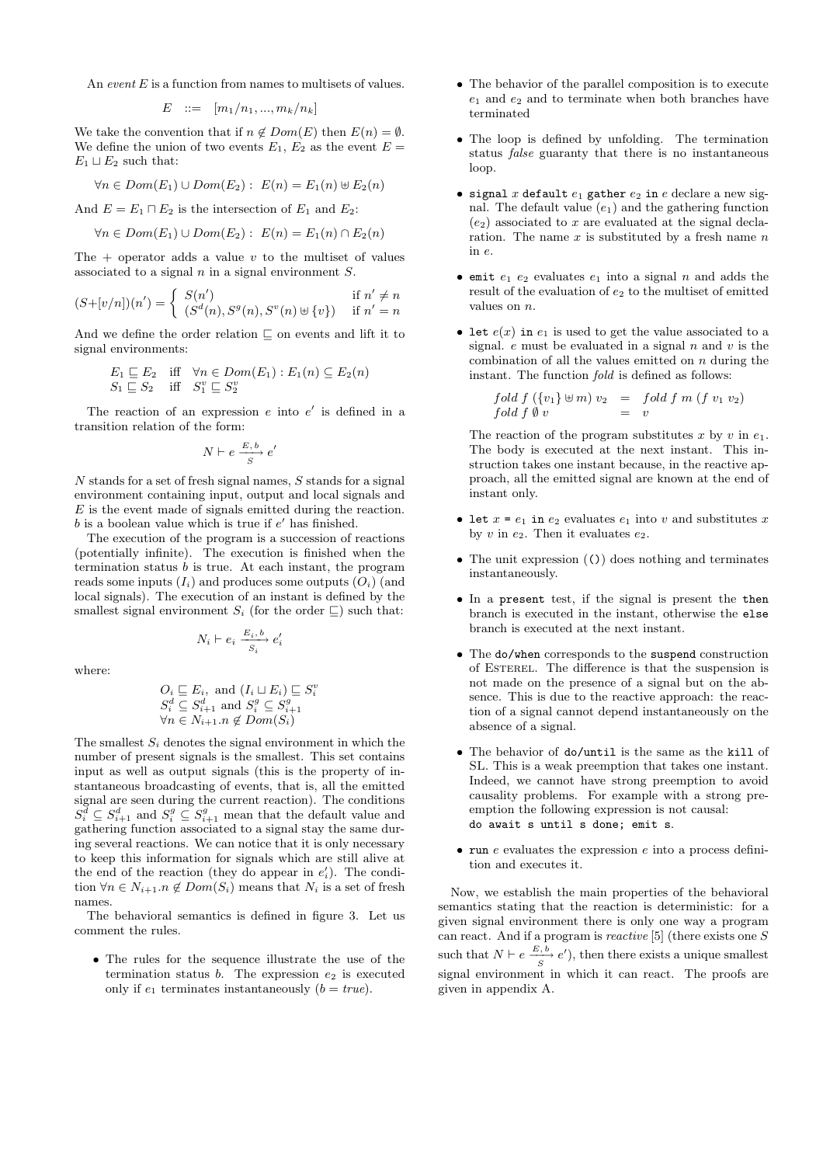An event  $E$  is a function from names to multisets of values.

$$
E \quad ::= \quad [m_1/n_1, ..., m_k/n_k]
$$

We take the convention that if  $n \notin Dom(E)$  then  $E(n) = \emptyset$ . We define the union of two events  $E_1, E_2$  as the event  $E =$  $E_1 \sqcup E_2$  such that:

$$
\forall n \in Dom(E_1) \cup Dom(E_2): E(n) = E_1(n) \oplus E_2(n)
$$

And  $E = E_1 \sqcap E_2$  is the intersection of  $E_1$  and  $E_2$ :

$$
\forall n \in Dom(E_1) \cup Dom(E_2): E(n) = E_1(n) \cap E_2(n)
$$

The  $+$  operator adds a value v to the multiset of values associated to a signal  $n$  in a signal environment  $S$ .

$$
(S+[v/n])(n') = \begin{cases} S(n') & \text{if } n' \neq n \\ (S^d(n), S^g(n), S^v(n) \uplus \{v\}) & \text{if } n' = n \end{cases}
$$

And we define the order relation  $\Box$  on events and lift it to signal environments:

$$
E_1 \sqsubseteq E_2 \quad \text{iff} \quad \forall n \in Dom(E_1) : E_1(n) \subseteq E_2(n) S_1 \sqsubseteq S_2 \quad \text{iff} \quad S_1^v \sqsubseteq S_2^v
$$

The reaction of an expression  $e$  into  $e'$  is defined in a transition relation of the form:

$$
N \vdash e \xrightarrow[S]{E, b} e'
$$

 $N$  stands for a set of fresh signal names,  $S$  stands for a signal environment containing input, output and local signals and E is the event made of signals emitted during the reaction.  $b$  is a boolean value which is true if  $e'$  has finished.

The execution of the program is a succession of reactions (potentially infinite). The execution is finished when the termination status  $\ddot{b}$  is true. At each instant, the program reads some inputs  $(I_i)$  and produces some outputs  $(O_i)$  (and local signals). The execution of an instant is defined by the smallest signal environment  $S_i$  (for the order  $\subseteq$ ) such that:

where:

$$
O_i \sqsubseteq E_i, \text{ and } (I_i \sqcup E_i) \sqsubseteq S_i^v
$$
  

$$
S_i^d \subseteq S_{i+1}^d \text{ and } S_i^g \subseteq S_{i+1}^g
$$
  

$$
\forall n \in N_{i+1}.n \notin Dom(S_i)
$$

 $N_i \vdash e_i \xrightarrow[S_i]{} e'_i$ 

The smallest  $S_i$  denotes the signal environment in which the number of present signals is the smallest. This set contains input as well as output signals (this is the property of instantaneous broadcasting of events, that is, all the emitted signal are seen during the current reaction). The conditions  $S_i^{\bar{d}} \subseteq S_{i+1}^d$  and  $S_i^g \subseteq S_{i+1}^g$  mean that the default value and gathering function associated to a signal stay the same during several reactions. We can notice that it is only necessary to keep this information for signals which are still alive at the end of the reaction (they do appear in  $e'_i$ ). The condition  $\forall n \in N_{i+1}.n \notin Dom(S_i)$  means that  $N_i$  is a set of fresh names.

The behavioral semantics is defined in figure 3. Let us comment the rules.

• The rules for the sequence illustrate the use of the termination status  $b$ . The expression  $e_2$  is executed only if  $e_1$  terminates instantaneously  $(b = true)$ .

- The behavior of the parallel composition is to execute  $e_1$  and  $e_2$  and to terminate when both branches have terminated
- The loop is defined by unfolding. The termination status false guaranty that there is no instantaneous loop.
- signal x default  $e_1$  gather  $e_2$  in e declare a new signal. The default value  $(e_1)$  and the gathering function  $(e_2)$  associated to x are evaluated at the signal declaration. The name  $x$  is substituted by a fresh name  $n$ in e.
- emit  $e_1$   $e_2$  evaluates  $e_1$  into a signal n and adds the result of the evaluation of  $e_2$  to the multiset of emitted values on *n*.
- let  $e(x)$  in  $e_1$  is used to get the value associated to a signal.  $e$  must be evaluated in a signal  $n$  and  $v$  is the combination of all the values emitted on  $n$  during the instant. The function fold is defined as follows:

$$
\begin{array}{rcl}\n\text{fold } f \ (\{v_1\} \oplus m) \ v_2 & = & \text{fold } f \ m \ (f \ v_1 \ v_2) \\
\text{fold } f \ \emptyset \ v & = & v\n\end{array}
$$

The reaction of the program substitutes  $x$  by  $v$  in  $e_1$ . The body is executed at the next instant. This instruction takes one instant because, in the reactive approach, all the emitted signal are known at the end of instant only.

- let  $x = e_1$  in  $e_2$  evaluates  $e_1$  into  $v$  and substitutes  $x$ by v in  $e_2$ . Then it evaluates  $e_2$ .
- The unit expression  $(0)$  does nothing and terminates instantaneously.
- In a present test, if the signal is present the then branch is executed in the instant, otherwise the else branch is executed at the next instant.
- The do/when corresponds to the suspend construction of Esterel. The difference is that the suspension is not made on the presence of a signal but on the absence. This is due to the reactive approach: the reaction of a signal cannot depend instantaneously on the absence of a signal.
- The behavior of do/until is the same as the kill of SL. This is a weak preemption that takes one instant. Indeed, we cannot have strong preemption to avoid causality problems. For example with a strong preemption the following expression is not causal: do await s until s done; emit s.
- $\bullet$  run e evaluates the expression e into a process definition and executes it.

Now, we establish the main properties of the behavioral semantics stating that the reaction is deterministic: for a given signal environment there is only one way a program can react. And if a program is *reactive* [5] (there exists one  $S$ such that  $N \vdash e \frac{E, b}{S} e'$ , then there exists a unique smallest signal environment in which it can react. The proofs are given in appendix A.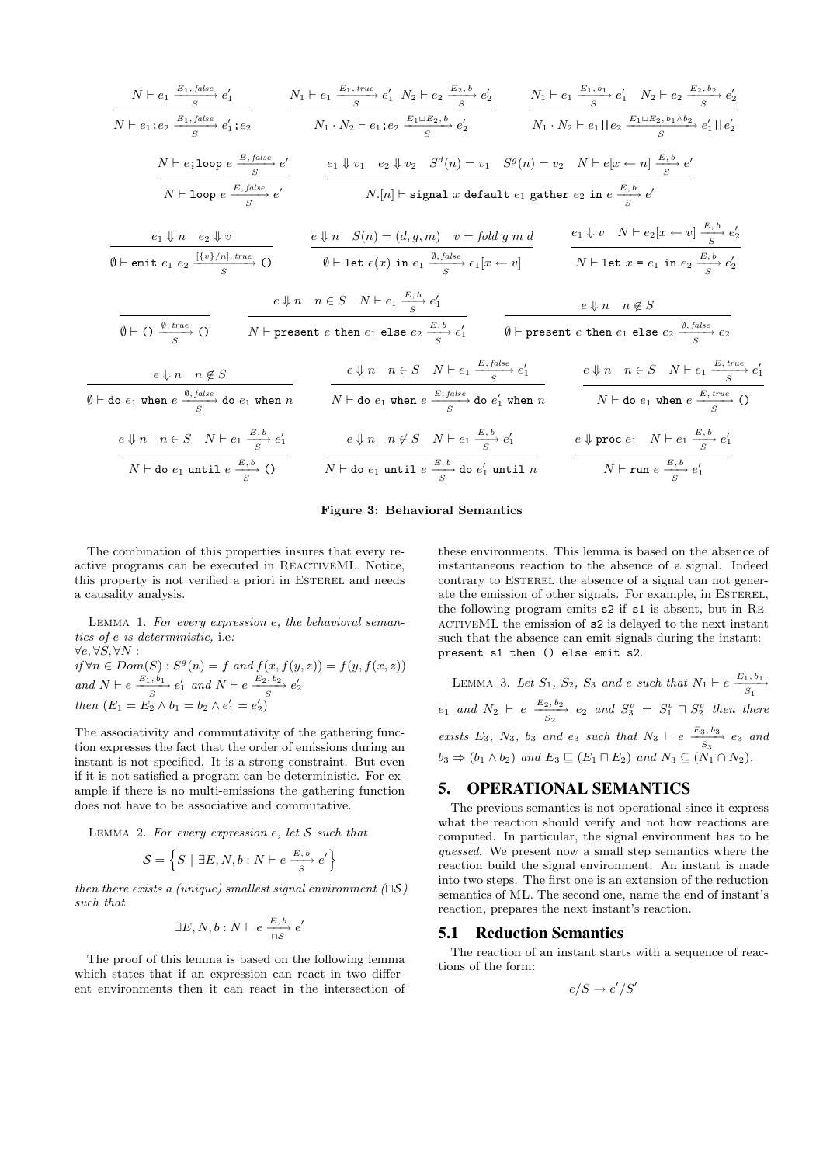$$
\frac{N \vdash e_1 \xrightarrow{F_1, false} e'_1}{N \vdash e_1; e_2 \xrightarrow{F_1, false} e'_1; e_2}
$$
\n
$$
\frac{N_1 \vdash e_1 \xrightarrow{F_1, true} e'_1 \xrightarrow{N_2 \vdash e_2} e'_2}{N_1 \cdot N_2 \vdash e_1; e_2 \xrightarrow{F_1, false} e'_2}
$$
\n
$$
\frac{N_1 \vdash e_1 \xrightarrow{F_1, false} e'_1}{N_1 \cdot N_2 \vdash e_1; e_2 \xrightarrow{F_1, false} e'_2}
$$
\n
$$
\frac{N_1 \vdash e_1 \xrightarrow{F_1, false} e'_1}{N_1 \cdot N_2 \vdash e_1; e_1; e_2 \xrightarrow{F_1, false} e'_2}
$$
\n
$$
\frac{N_1 \vdash e_1 \xrightarrow{F_1, false} e'_1}{N_1 \cdot N_2 \vdash e_1; e_1; e_2 \xrightarrow{F_1, false} e'_2}
$$
\n
$$
\frac{N_1 \vdash e_1 \xrightarrow{F_1, false} e'_1}{N \vdash e_2 \xrightarrow{F_1, false} e'_1}
$$
\n
$$
\frac{N_1 \vdash e_1 \xrightarrow{F_1, false} e'_1}{N \vdash e_2 \xrightarrow{F_1, false} e'_1}
$$
\n
$$
\frac{N_1 \vdash e_2 \Downarrow v}{N_1 \cdot n_2 \vdash e_2 \xrightarrow{F_1, false} e'_1}
$$
\n
$$
\frac{N_1 \vdash e_2 \Downarrow v}{N_1 \cdot n_2 \vdash e_2 \xrightarrow{F_1, false} e'_1}
$$
\n
$$
\frac{N_1 \vdash e_2 \Downarrow v}{N_1 \cdot n_2 \vdash e_2 \xrightarrow{F_1, false} e'_1}
$$
\n
$$
\frac{N_1 \vdash e_2 \Downarrow v}{N_1 \cdot n_2 \vdash e_2 \xrightarrow{F_1, false} e'_1}
$$
\n
$$
\frac{N_1 \vdash e_2 \Downarrow v}{N_1 \cdot n_2 \vdash e_2 \xrightarrow{F_1, false} e'_1}
$$
\n
$$
\frac{N_1 \vdash e_2 \Downarrow v}{N_1 \cdot n_2 \vdash e_2 \xrightarrow{
$$

#### Figure 3: Behavioral Semantics

The combination of this properties insures that every reactive programs can be executed in ReactiveML. Notice, this property is not verified a priori in ESTEREL and needs a causality analysis.

 $\emptyset$  ŀ

LEMMA 1. For every expression e, the behavioral semantics of e is deterministic, i.e:  $\forall e, \forall S, \forall N:$  $if \forall n \in Dom(S) : S^g(n) = f$  and  $f(x, f(y, z)) = f(y, f(x, z))$ and  $N \vdash e \xrightarrow[S]{E_1, b_1} e'_1$  and  $N \vdash e \xrightarrow[S]{E_2, b_2} e'_2$ then  $(E_1 = E_2 \wedge b_1 = b_2 \wedge e'_1 = e'_2)$ 

The associativity and commutativity of the gathering function expresses the fact that the order of emissions during an instant is not specified. It is a strong constraint. But even if it is not satisfied a program can be deterministic. For example if there is no multi-emissions the gathering function does not have to be associative and commutative.

LEMMA 2. For every expression  $e$ , let  $S$  such that

$$
\mathcal{S} = \left\{S \ | \ \exists E,N,b : N \vdash e \xrightarrow[S]{E,b} e' \right\}
$$

then there exists a (unique) smallest signal environment  $(\Box S)$ such that

$$
\exists E, N, b : N \vdash e \xrightarrow{\overline{E}, b} e'
$$

The proof of this lemma is based on the following lemma which states that if an expression can react in two different environments then it can react in the intersection of

these environments. This lemma is based on the absence of instantaneous reaction to the absence of a signal. Indeed contrary to ESTEREL the absence of a signal can not generate the emission of other signals. For example, in ESTEREL, the following program emits s2 if s1 is absent, but in Re-ACTIVEML the emission of  $s2$  is delayed to the next instant such that the absence can emit signals during the instant: present s1 then () else emit s2.

LEMMA 3. Let  $S_1$ ,  $S_2$ ,  $S_3$  and e such that  $N_1 \vdash e \frac{E_1, b_1}{S_1}$  $e_1$  and  $N_2 \vdash e \xrightarrow[{-S_2, b_2 \atop S_2} e_2$  and  $S_3^v = S_1^v \sqcap S_2^v$  then there exists  $E_3$ ,  $N_3$ ,  $b_3$  and  $e_3$  such that  $N_3 \vdash e \frac{E_3, b_3}{S_3}$   $e_3$  and  $b_3 \Rightarrow (b_1 \wedge b_2)$  and  $E_3 \sqsubseteq (E_1 \sqcap E_2)$  and  $N_3 \subseteq (N_1 \cap N_2)$ .

# **5. OPERATIONAL SEMANTICS**

The previous semantics is not operational since it express what the reaction should verify and not how reactions are computed. In particular, the signal environment has to be guessed. We present now a small step semantics where the reaction build the signal environment. An instant is made into two steps. The first one is an extension of the reduction semantics of ML. The second one, name the end of instant's reaction, prepares the next instant's reaction.

# **5.1 Reduction Semantics**

The reaction of an instant starts with a sequence of reactions of the form:

$$
e/S\to e'/S'
$$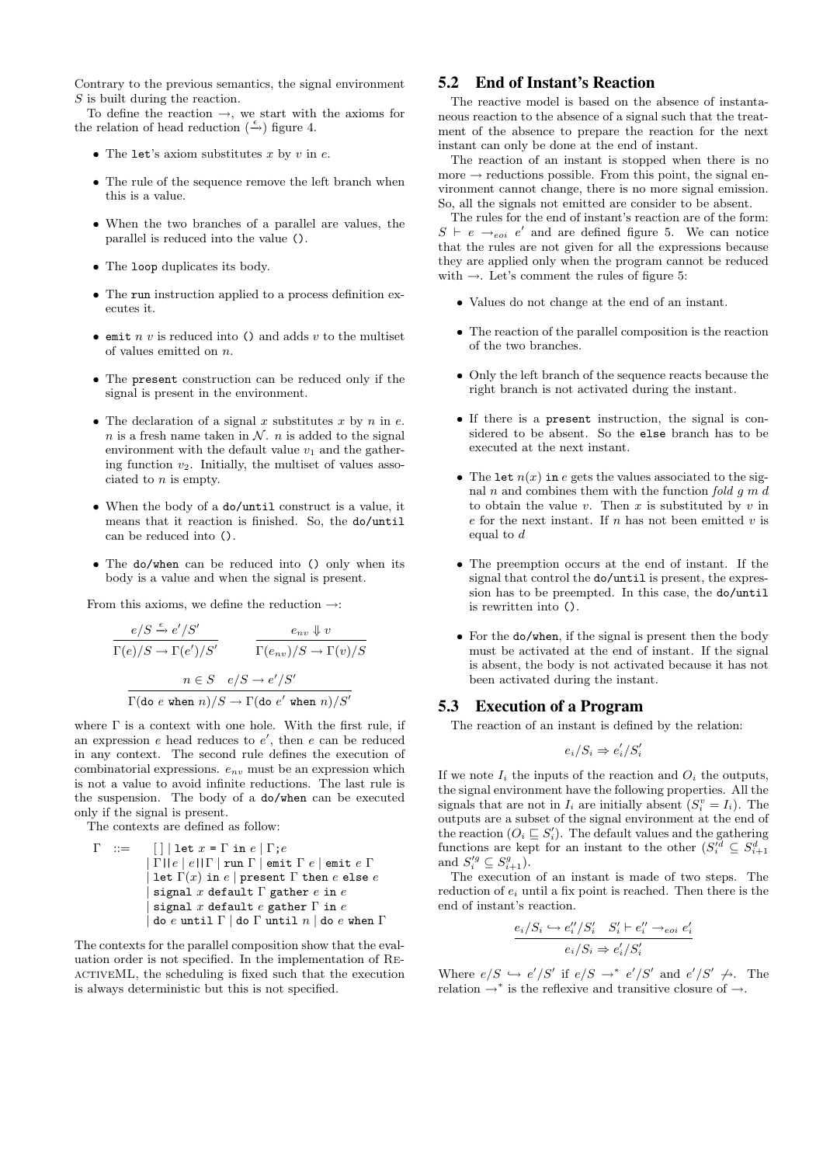Contrary to the previous semantics, the signal environment S is built during the reaction.

To define the reaction  $\rightarrow$ , we start with the axioms for the relation of head reduction  $(\xrightarrow{\epsilon})$  figure 4.

- The let's axiom substitutes x by  $v$  in  $e$ .
- The rule of the sequence remove the left branch when this is a value.
- When the two branches of a parallel are values, the parallel is reduced into the value ().
- The loop duplicates its body.
- The run instruction applied to a process definition executes it.
- emit  $n \, v$  is reduced into () and adds  $v$  to the multiset of values emitted on n.
- The present construction can be reduced only if the signal is present in the environment.
- The declaration of a signal x substitutes x by n in  $e$ .  $n$  is a fresh name taken in  $\mathcal N.$   $n$  is added to the signal environment with the default value  $v_1$  and the gathering function  $v_2$ . Initially, the multiset of values associated to n is empty.
- When the body of a do/until construct is a value, it means that it reaction is finished. So, the do/until can be reduced into ().
- The do/when can be reduced into () only when its body is a value and when the signal is present.

From this axioms, we define the reduction  $\rightarrow$ :

$$
\frac{e/S \xrightarrow{\epsilon} e'/S'}{\Gamma(e)/S \to \Gamma(e')/S'} \qquad \frac{e_{nv} \Downarrow v}{\Gamma(e_{nv})/S \to \Gamma(v)/S}
$$
\n
$$
\frac{n \in S \quad e/S \to e'/S'}{\Gamma(\text{do } e \text{ when } n)/S \to \Gamma(\text{do } e' \text{ when } n)/S'}
$$

where  $\Gamma$  is a context with one hole. With the first rule, if an expression  $e$  head reduces to  $e'$ , then  $e$  can be reduced in any context. The second rule defines the execution of combinatorial expressions.  $e_{nv}$  must be an expression which is not a value to avoid infinite reductions. The last rule is the suspension. The body of a do/when can be executed only if the signal is present.

The contexts are defined as follow:

$$
\Gamma ::= \begin{array}{c} [\ ] \ | \ \text{let } x = \Gamma \text{ in } e \ | \Gamma; e \\ \ |\Gamma||e \ | \ e || \Gamma \ | \ \text{run } \Gamma \ | \ \text{emit } \Gamma \ e \ | \ \text{emit } e \ \Gamma \\ \ |\ \text{let } \Gamma(x) \text{ in } e \ | \ \text{present } \Gamma \text{ then } e \text{ else } e \\ \ |\ \text{signal } x \text{ default } \Gamma \text{ gather } e \text{ in } e \\ \ |\ \text{signal } x \text{ default } e \text{ gather } \Gamma \text{ in } e \\ \ |\ \text{do } e \text{ until } \Gamma \ | \ \text{do } \Gamma \text{ until } n \ | \ \text{do } e \text{ when } \Gamma \end{array}
$$

The contexts for the parallel composition show that the evaluation order is not specified. In the implementation of ReactiveML, the scheduling is fixed such that the execution is always deterministic but this is not specified.

# **5.2 End of Instant's Reaction**

The reactive model is based on the absence of instantaneous reaction to the absence of a signal such that the treatment of the absence to prepare the reaction for the next instant can only be done at the end of instant.

The reaction of an instant is stopped when there is no more  $\rightarrow$  reductions possible. From this point, the signal environment cannot change, there is no more signal emission. So, all the signals not emitted are consider to be absent.

The rules for the end of instant's reaction are of the form:  $S \vdash e \rightarrow_{eoi} e'$  and are defined figure 5. We can notice that the rules are not given for all the expressions because they are applied only when the program cannot be reduced with  $\rightarrow$ . Let's comment the rules of figure 5:

- Values do not change at the end of an instant.
- The reaction of the parallel composition is the reaction of the two branches.
- Only the left branch of the sequence reacts because the right branch is not activated during the instant.
- If there is a present instruction, the signal is considered to be absent. So the else branch has to be executed at the next instant.
- The let  $n(x)$  in e gets the values associated to the signal n and combines them with the function fold g  $m$  d to obtain the value  $v$ . Then  $x$  is substituted by  $v$  in  $e$  for the next instant. If  $n$  has not been emitted  $v$  is equal to d
- The preemption occurs at the end of instant. If the signal that control the do/until is present, the expression has to be preempted. In this case, the do/until is rewritten into ().
- For the do/when, if the signal is present then the body must be activated at the end of instant. If the signal is absent, the body is not activated because it has not been activated during the instant.

#### **5.3 Execution of a Program**

The reaction of an instant is defined by the relation:

$$
e_i/S_i \Rightarrow e'_i/S'_i
$$

If we note  $I_i$  the inputs of the reaction and  $O_i$  the outputs, the signal environment have the following properties. All the signals that are not in  $I_i$  are initially absent  $(S_i^v = I_i)$ . The outputs are a subset of the signal environment at the end of the reaction  $(O_i \sqsubseteq S'_i)$ . The default values and the gathering functions are kept for an instant to the other  $(S_i'^d \subseteq S_{i+1}^d)$ and  $S_i'^g \subseteq S_{i+1}^g$ ).

The execution of an instant is made of two steps. The reduction of  $e_i$  until a fix point is reached. Then there is the end of instant's reaction.

$$
\frac{e_i/S_i \hookrightarrow e_i''/S_i' \quad S_i' \vdash e_i'' \rightarrow_{eoi} e_i'}{e_i/S_i \Rightarrow e_i'/S_i'}
$$

Where  $e/S \hookrightarrow e'/S'$  if  $e/S \rightarrow^* e'/S'$  and  $e'/S' \nrightarrow$ . The relation  $\rightarrow^*$  is the reflexive and transitive closure of  $\rightarrow$ .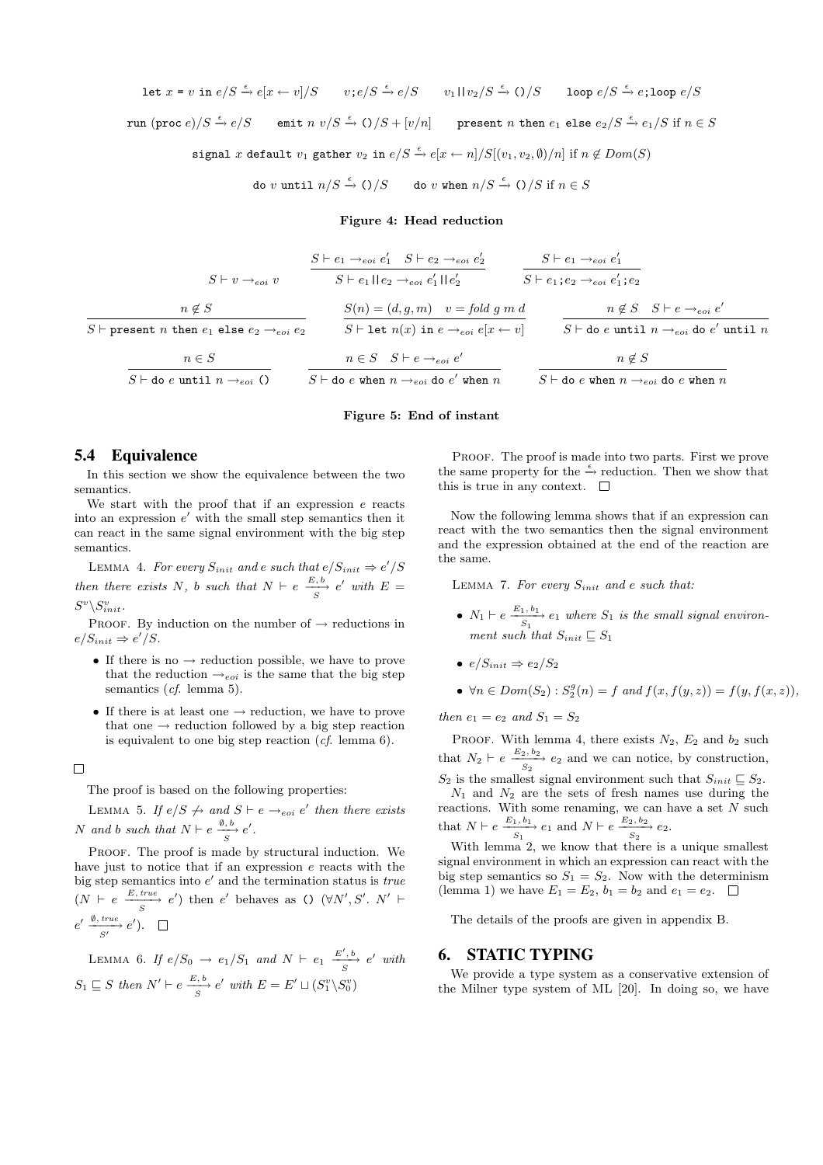$$
\mathtt{let}\ x = v\ \mathtt{in}\ e/S\xrightarrow{\epsilon} e[x\leftarrow v]/S\qquad v; e/S\xrightarrow{\epsilon} e/S\qquad v_1\sqcup v_2/S\xrightarrow{\epsilon} \texttt{O}/S\qquad \mathtt{loop}\ e/S\xrightarrow{\epsilon} e;\mathtt{loop}\ e/S\xrightarrow{\epsilon} e
$$

run (proc e)/S  $\stackrel{\epsilon}{\rightarrow} e/S$  emit n v/S  $\stackrel{\epsilon}{\rightarrow}$  ()/S + [v/n] present n then  $e_1$  else  $e_2/S \stackrel{\epsilon}{\rightarrow} e_1/S$  if  $n \in S$ 

signal x default  $v_1$  gather  $v_2$  in  $e/S \stackrel{\epsilon}{\rightarrow} e[x \leftarrow n]/S[(v_1, v_2, \emptyset)/n]$  if  $n \notin Dom(S)$ 

do v until  $n/S \stackrel{\epsilon}{\rightarrow} ()/S$  do v when  $n/S \stackrel{\epsilon}{\rightarrow} ()/S$  if  $n \in S$ 

#### Figure 4: Head reduction

|                                                                          | $S \vdash e_1 \rightarrow_{eoi} e'_1$ $S \vdash e_2 \rightarrow_{eoi} e'_2$ | $S \vdash e_1 \rightarrow_{eoi} e'_1$                     |
|--------------------------------------------------------------------------|-----------------------------------------------------------------------------|-----------------------------------------------------------|
| $S \vdash v \rightarrow_{eoi} v$                                         | $S \vdash e_1 \sqcup e_2 \rightarrow_{eoi} e'_1 \sqcup e'_2$                | $S\vdash e_1\,;e_2\rightarrow_{eoi}e'_1\,;e_2$            |
| $n \notin S$                                                             | $S(n) = (d, g, m)$ $v = fold g m d$                                         | $n \notin S$ $S \vdash e \rightarrow_{eoi} e'$            |
| $S\vdash \mathtt{present}\;n$ then $e_1$ else $e_2\rightarrow_{eoi} e_2$ | $S \vdash$ let $n(x)$ in $e \rightarrow_{eoi} e[x \leftarrow v]$            | $S\vdash$ do e until $n\rightarrow_{eoi}$ do e' until $n$ |
| $n \in S$                                                                | $n \in S$ $S \vdash e \rightarrow_{eoi} e'$                                 | $n \notin S$                                              |
| $S \vdash$ do e until $n \rightarrow_{eoi} ($                            | $S\vdash$ do e when $n\rightarrow_{eoi}$ do e' when $n$                     | $S \vdash$ do e when $n \rightarrow_{eoi}$ do e when n    |

#### Figure 5: End of instant

## **5.4 Equivalence**

In this section we show the equivalence between the two semantics.

We start with the proof that if an expression e reacts into an expression  $e'$  with the small step semantics then it can react in the same signal environment with the big step semantics.

LEMMA 4. For every  $S_{init}$  and e such that  $e/S_{init} \Rightarrow e'/S$ then there exists N, b such that  $N \vdash e \stackrel{E, b}{\longrightarrow} e'$  with  $E =$  $S^v\backslash S^v_{init}.$ 

PROOF. By induction on the number of  $\rightarrow$  reductions in  $e/S_{init} \Rightarrow e'/S.$ 

- If there is no  $\rightarrow$  reduction possible, we have to prove that the reduction  $\rightarrow_{eoi}$  is the same that the big step semantics (cf. lemma 5).
- If there is at least one  $\rightarrow$  reduction, we have to prove that one  $\rightarrow$  reduction followed by a big step reaction is equivalent to one big step reaction  $(cf.$  lemma 6).

 $\Box$ 

The proof is based on the following properties:

LEMMA 5. If  $e/S \nightharpoonup$  and  $S \vdash e \rightarrow_{eoi} e'$  then there exists N and b such that  $N \vdash e \xrightarrow[S]{\emptyset, b} e'$ .

PROOF. The proof is made by structural induction. We have just to notice that if an expression e reacts with the big step semantics into  $e'$  and the termination status is *true*  $(N \vdash e \xrightarrow[S]{E, true} e')$  then e' behaves as ()  $(\forall N', S'. N' \vdash$  $e' \xrightarrow[S' \to e']$ .

LEMMA 6. If  $e/S_0 \rightarrow e_1/S_1$  and  $N \vdash e_1 \xrightarrow[S]{E', b} e'$  with  $S_1 \sqsubseteq S$  then  $N' \vdash e \frac{E, b}{S} e'$  with  $E = E' \sqcup (S_1^v \backslash S_0^v)$ 

PROOF. The proof is made into two parts. First we prove the same property for the  $\xrightarrow{\epsilon}$  reduction. Then we show that this is true in any context.  $\Box$ 

Now the following lemma shows that if an expression can react with the two semantics then the signal environment and the expression obtained at the end of the reaction are the same.

LEMMA 7. For every  $S_{init}$  and e such that:

- $N_1 \vdash e \xrightarrow[S_1 \to 0]{} e_1$  where  $S_1$  is the small signal environment such that  $S_{init} \subseteq S_1$
- $e/S_{init} \Rightarrow e_2/S_2$
- $\forall n \in Dom(S_2) : S_2^g(n) = f \text{ and } f(x, f(y, z)) = f(y, f(x, z)),$

then  $e_1 = e_2$  and  $S_1 = S_2$ 

PROOF. With lemma 4, there exists  $N_2$ ,  $E_2$  and  $b_2$  such that  $N_2 \vdash e \xrightarrow[S_2]{} e_2$  and we can notice, by construction,  $S_2$  is the smallest signal environment such that  $S_{init} \sqsubseteq S_2$ .

 $N_1$  and  $N_2$  are the sets of fresh names use during the reactions. With some renaming, we can have a set  $N$  such that  $N \vdash e \xrightarrow[S_1 b_1]{} e_1$  and  $N \vdash e \xrightarrow[S_2 b_2]{} e_2$ .

With lemma 2, we know that there is a unique smallest signal environment in which an expression can react with the big step semantics so  $S_1 = S_2$ . Now with the determinism (lemma 1) we have  $E_1 = E_2$ ,  $b_1 = b_2$  and  $e_1 = e_2$ .  $\Box$ 

The details of the proofs are given in appendix B.

# **6. STATIC TYPING**

We provide a type system as a conservative extension of the Milner type system of ML [20]. In doing so, we have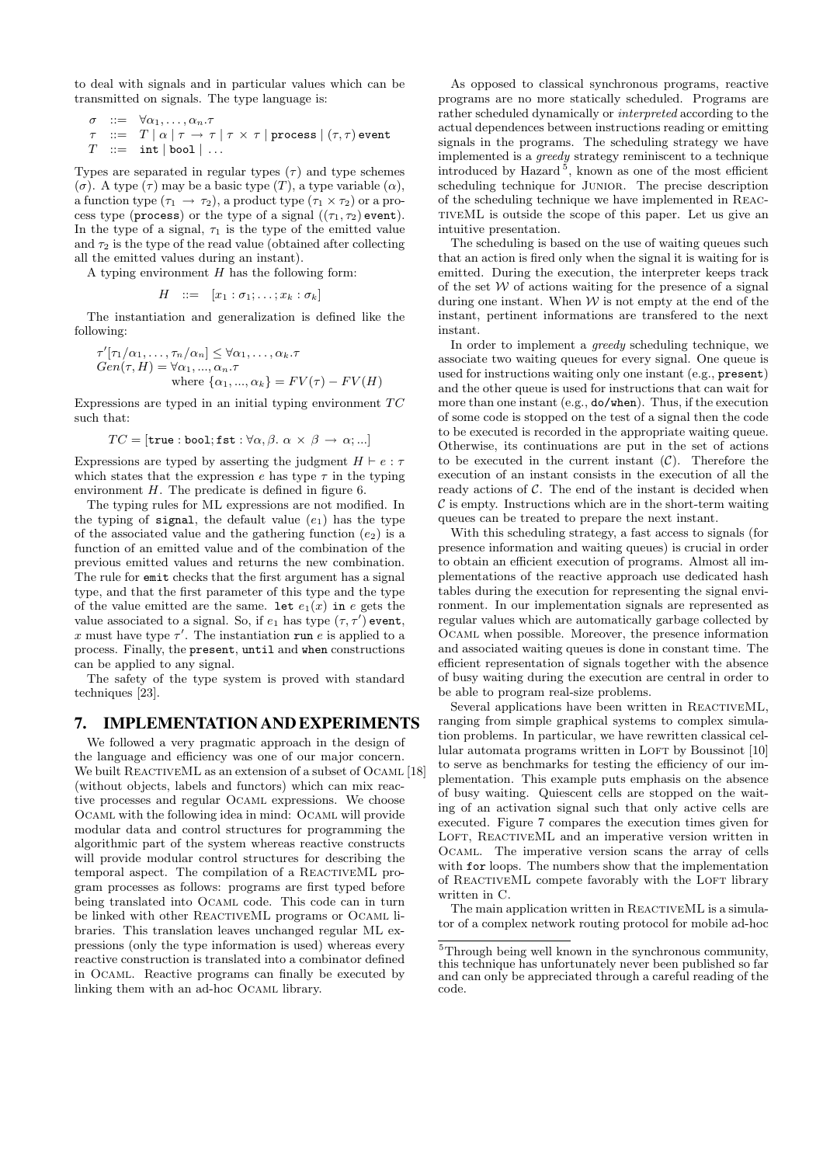to deal with signals and in particular values which can be transmitted on signals. The type language is:

```
\sigma ::= \forall \alpha_1, \ldots, \alpha_n.\tau
```
 $\tau := T | \alpha | \tau \to \tau | \tau \times \tau |$  process  $| (\tau, \tau)$  event  $T$  := int | bool | ...

Types are separated in regular types  $(\tau)$  and type schemes (σ). A type ( $\tau$ ) may be a basic type (T), a type variable ( $\alpha$ ), a function type  $(\tau_1 \rightarrow \tau_2)$ , a product type  $(\tau_1 \times \tau_2)$  or a process type (process) or the type of a signal  $((\tau_1, \tau_2)$  event). In the type of a signal,  $\tau_1$  is the type of the emitted value and  $\tau_2$  is the type of the read value (obtained after collecting all the emitted values during an instant).

A typing environment  $H$  has the following form:

$$
H \quad ::= \quad [x_1 : \sigma_1; \ldots; x_k : \sigma_k]
$$

The instantiation and generalization is defined like the following:

$$
\tau'[\tau_1/\alpha_1, \dots, \tau_n/\alpha_n] \leq \forall \alpha_1, \dots, \alpha_k.\tau
$$
  
\n
$$
Gen(\tau, H) = \forall \alpha_1, \dots, \alpha_n.\tau
$$
  
\nwhere  $\{\alpha_1, \dots, \alpha_k\} = FV(\tau) - FV(H)$ 

Expressions are typed in an initial typing environment  $TC$ such that:

$$
TC = [\mathtt{true} : \mathtt{bool}; \mathtt{fst} : \forall \alpha, \beta \ldots \alpha \times \beta \to \alpha; \ldots]
$$

Expressions are typed by asserting the judgment  $H \vdash e : \tau$ which states that the expression e has type  $\tau$  in the typing environment  $H$ . The predicate is defined in figure 6.

The typing rules for ML expressions are not modified. In the typing of signal, the default value  $(e_1)$  has the type of the associated value and the gathering function  $(e_2)$  is a function of an emitted value and of the combination of the previous emitted values and returns the new combination. The rule for emit checks that the first argument has a signal type, and that the first parameter of this type and the type of the value emitted are the same. Let  $e_1(x)$  in e gets the value associated to a signal. So, if  $e_1$  has type  $(\tau, \tau')$  event, x must have type  $\tau'$ . The instantiation run e is applied to a process. Finally, the present, until and when constructions can be applied to any signal.

The safety of the type system is proved with standard techniques [23].

# **7. IMPLEMENTATION AND EXPERIMENTS**

We followed a very pragmatic approach in the design of the language and efficiency was one of our major concern. We built REACTIVEML as an extension of a subset of OCAML [18] (without objects, labels and functors) which can mix reactive processes and regular Ocaml expressions. We choose Ocaml with the following idea in mind: Ocaml will provide modular data and control structures for programming the algorithmic part of the system whereas reactive constructs will provide modular control structures for describing the temporal aspect. The compilation of a REACTIVEML program processes as follows: programs are first typed before being translated into Ocaml code. This code can in turn be linked with other REACTIVEML programs or OCAML libraries. This translation leaves unchanged regular ML expressions (only the type information is used) whereas every reactive construction is translated into a combinator defined in Ocaml. Reactive programs can finally be executed by linking them with an ad-hoc OCAML library.

As opposed to classical synchronous programs, reactive programs are no more statically scheduled. Programs are rather scheduled dynamically or interpreted according to the actual dependences between instructions reading or emitting signals in the programs. The scheduling strategy we have implemented is a greedy strategy reminiscent to a technique introduced by Hazard<sup>5</sup>, known as one of the most efficient scheduling technique for Junior. The precise description of the scheduling technique we have implemented in ReactiveML is outside the scope of this paper. Let us give an intuitive presentation.

The scheduling is based on the use of waiting queues such that an action is fired only when the signal it is waiting for is emitted. During the execution, the interpreter keeps track of the set  $W$  of actions waiting for the presence of a signal during one instant. When  $W$  is not empty at the end of the instant, pertinent informations are transfered to the next instant.

In order to implement a greedy scheduling technique, we associate two waiting queues for every signal. One queue is used for instructions waiting only one instant (e.g., present) and the other queue is used for instructions that can wait for more than one instant (e.g., do/when). Thus, if the execution of some code is stopped on the test of a signal then the code to be executed is recorded in the appropriate waiting queue. Otherwise, its continuations are put in the set of actions to be executed in the current instant  $(C)$ . Therefore the execution of an instant consists in the execution of all the ready actions of  $C$ . The end of the instant is decided when  $\mathcal C$  is empty. Instructions which are in the short-term waiting queues can be treated to prepare the next instant.

With this scheduling strategy, a fast access to signals (for presence information and waiting queues) is crucial in order to obtain an efficient execution of programs. Almost all implementations of the reactive approach use dedicated hash tables during the execution for representing the signal environment. In our implementation signals are represented as regular values which are automatically garbage collected by Ocaml when possible. Moreover, the presence information and associated waiting queues is done in constant time. The efficient representation of signals together with the absence of busy waiting during the execution are central in order to be able to program real-size problems.

Several applications have been written in REACTIVEML, ranging from simple graphical systems to complex simulation problems. In particular, we have rewritten classical cellular automata programs written in LOFT by Boussinot [10] to serve as benchmarks for testing the efficiency of our implementation. This example puts emphasis on the absence of busy waiting. Quiescent cells are stopped on the waiting of an activation signal such that only active cells are executed. Figure 7 compares the execution times given for LOFT, REACTIVEML and an imperative version written in Ocaml. The imperative version scans the array of cells with for loops. The numbers show that the implementation of REACTIVEML compete favorably with the LOFT library written in C.

The main application written in REACTIVEML is a simulator of a complex network routing protocol for mobile ad-hoc

 ${}^{5}\mathrm{Through}$  being well known in the synchronous community, this technique has unfortunately never been published so far and can only be appreciated through a careful reading of the code.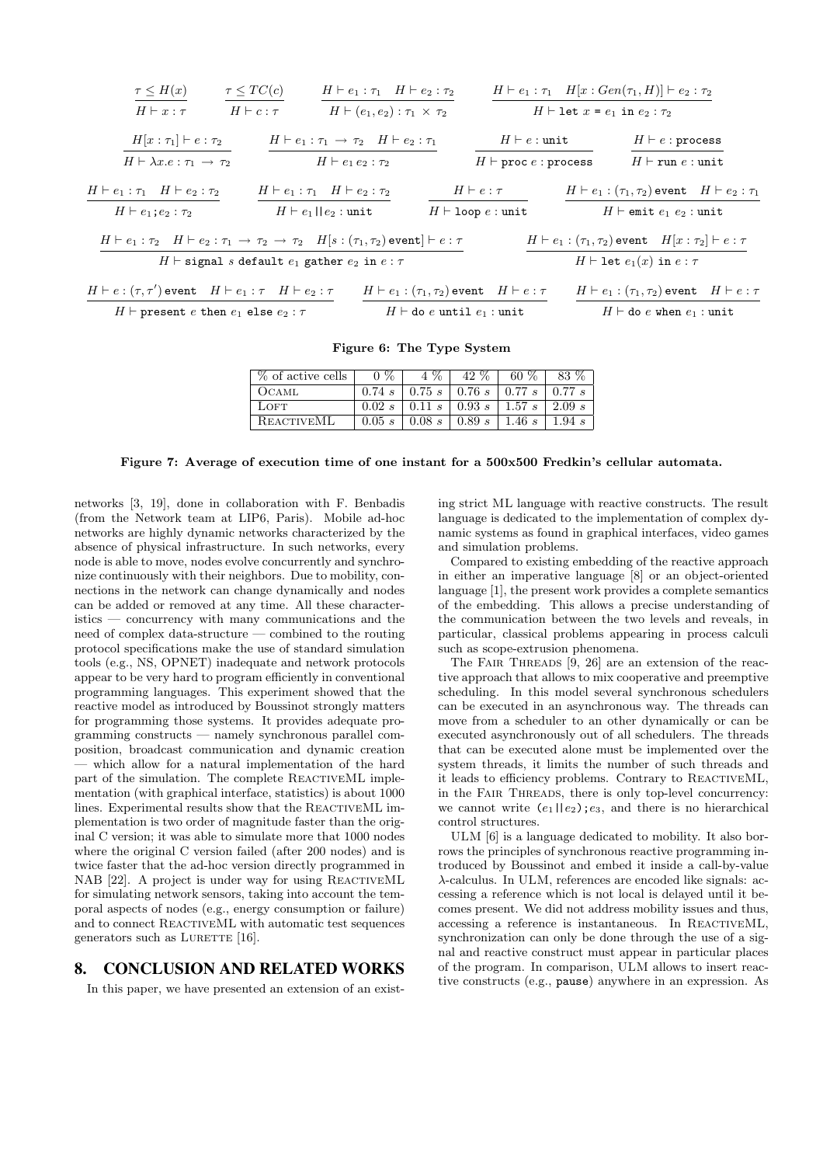| $\tau \leq H(x)$                                                                   | $\tau \leq TC(c)$                                 | $H \vdash e_1 : \tau_1$ $H \vdash e_2 : \tau_2$                                                                                     |                                                             |                                                |  | $H \vdash e_1 : \tau_1 \quad H[x : Gen(\tau_1, H)] \vdash e_2 : \tau_2$ |  |  |
|------------------------------------------------------------------------------------|---------------------------------------------------|-------------------------------------------------------------------------------------------------------------------------------------|-------------------------------------------------------------|------------------------------------------------|--|-------------------------------------------------------------------------|--|--|
| $H \vdash x : \tau$                                                                | $H \vdash c : \tau$                               | $H \vdash (e_1, e_2) : \tau_1 \times \tau_2$                                                                                        |                                                             |                                                |  | $H \vdash$ let $x = e_1$ in $e_2 : \tau_2$                              |  |  |
| $H[x:\tau_1]\vdash e:\tau_2$                                                       |                                                   | $H \vdash e_1 : \tau_1 \rightarrow \tau_2$ $H \vdash e_2 : \tau_1$                                                                  |                                                             | $H \vdash e : \mathtt{unit}$                   |  | $H \vdash e :$ process                                                  |  |  |
| $H \vdash \lambda x.e : \tau_1 \rightarrow \tau_2$                                 |                                                   | $H \vdash e_1 \, e_2 : \tau_2$                                                                                                      |                                                             | $H \vdash \mathtt{proc}\ e : \mathtt{process}$ |  | $H \vdash$ run e : unit                                                 |  |  |
| $H \vdash e_1 : \tau_1$ $H \vdash e_2 : \tau_2$                                    |                                                   | $H \vdash e_1 : \tau_1$ $H \vdash e_2 : \tau_2$                                                                                     | $H \vdash e : \tau$                                         |                                                |  | $H \vdash e_1 : (\tau_1, \tau_2)$ event $H \vdash e_2 : \tau_1$         |  |  |
| $H \vdash e_1 \text{ ; } e_2 : \tau_2$                                             |                                                   | $H \vdash e_1 \mid e_2 :$ unit                                                                                                      | $H \vdash$ loop $e :$ unit                                  |                                                |  | $H \vdash$ emit $e_1$ $e_2$ : unit                                      |  |  |
|                                                                                    |                                                   | $H \vdash e_1 : \tau_2$ $H \vdash e_2 : \tau_1 \rightarrow \tau_2 \rightarrow \tau_2$ $H[s:(\tau_1,\tau_2)$ event $\vdash e : \tau$ |                                                             |                                                |  | $H \vdash e_1 : (\tau_1, \tau_2)$ event $H[x : \tau_2] \vdash e : \tau$ |  |  |
|                                                                                    |                                                   | $H \vdash$ signal s default $e_1$ gather $e_2$ in $e : \tau$                                                                        |                                                             |                                                |  | $H \vdash$ let $e_1(x)$ in $e : \tau$                                   |  |  |
| $H \vdash e : (\tau, \tau')$ event $H \vdash e_1 : \tau \quad H \vdash e_2 : \tau$ |                                                   |                                                                                                                                     | $H \vdash e_1 : (\tau_1, \tau_2)$ event $H \vdash e : \tau$ |                                                |  | $H \vdash e_1 : (\tau_1, \tau_2)$ event $H \vdash e : \tau$             |  |  |
|                                                                                    | $H \vdash$ present e then $e_1$ else $e_2 : \tau$ |                                                                                                                                     | $H \vdash$ do e until e <sub>1</sub> : unit                 |                                                |  | $H \vdash$ do e when $e_1$ : unit                                       |  |  |

#### Figure 6: The Type System

| % of active cells | $0\%$  | $\%$<br>4 | 42 % I                     | $60\%$ |          |
|-------------------|--------|-----------|----------------------------|--------|----------|
| <b>OCAML</b>      | 0.74 s | $0.75 s$  | 0.76 s                     | 0.77 s | 0.77 s   |
| LOFT              | 0.02 s |           | $0.11 s$   0.93 s   1.57 s |        | 2.09 s   |
| <b>REACTIVEML</b> | 0.05 s | 0.08 s    | 0.89 s                     | 1.46 s | 1.94 $s$ |

#### Figure 7: Average of execution time of one instant for a 500x500 Fredkin's cellular automata.

networks [3, 19], done in collaboration with F. Benbadis (from the Network team at LIP6, Paris). Mobile ad-hoc networks are highly dynamic networks characterized by the absence of physical infrastructure. In such networks, every node is able to move, nodes evolve concurrently and synchronize continuously with their neighbors. Due to mobility, connections in the network can change dynamically and nodes can be added or removed at any time. All these characteristics — concurrency with many communications and the need of complex data-structure — combined to the routing protocol specifications make the use of standard simulation tools (e.g., NS, OPNET) inadequate and network protocols appear to be very hard to program efficiently in conventional programming languages. This experiment showed that the reactive model as introduced by Boussinot strongly matters for programming those systems. It provides adequate programming constructs — namely synchronous parallel composition, broadcast communication and dynamic creation which allow for a natural implementation of the hard part of the simulation. The complete REACTIVEML implementation (with graphical interface, statistics) is about 1000 lines. Experimental results show that the REACTIVEML implementation is two order of magnitude faster than the original C version; it was able to simulate more that 1000 nodes where the original C version failed (after 200 nodes) and is twice faster that the ad-hoc version directly programmed in NAB [22]. A project is under way for using ReactiveML for simulating network sensors, taking into account the temporal aspects of nodes (e.g., energy consumption or failure) and to connect REACTIVEML with automatic test sequences generators such as LURETTE  $[16]$ .

# **8. CONCLUSION AND RELATED WORKS**

In this paper, we have presented an extension of an exist-

ing strict ML language with reactive constructs. The result language is dedicated to the implementation of complex dynamic systems as found in graphical interfaces, video games and simulation problems.

Compared to existing embedding of the reactive approach in either an imperative language [8] or an object-oriented language [1], the present work provides a complete semantics of the embedding. This allows a precise understanding of the communication between the two levels and reveals, in particular, classical problems appearing in process calculi such as scope-extrusion phenomena.

The FAIR THREADS [9, 26] are an extension of the reactive approach that allows to mix cooperative and preemptive scheduling. In this model several synchronous schedulers can be executed in an asynchronous way. The threads can move from a scheduler to an other dynamically or can be executed asynchronously out of all schedulers. The threads that can be executed alone must be implemented over the system threads, it limits the number of such threads and it leads to efficiency problems. Contrary to ReactiveML, in the Fair Threads, there is only top-level concurrency: we cannot write  $(e_1||e_2);e_3$ , and there is no hierarchical control structures.

ULM [6] is a language dedicated to mobility. It also borrows the principles of synchronous reactive programming introduced by Boussinot and embed it inside a call-by-value λ-calculus. In ULM, references are encoded like signals: accessing a reference which is not local is delayed until it becomes present. We did not address mobility issues and thus, accessing a reference is instantaneous. In ReactiveML, synchronization can only be done through the use of a signal and reactive construct must appear in particular places of the program. In comparison, ULM allows to insert reactive constructs (e.g., pause) anywhere in an expression. As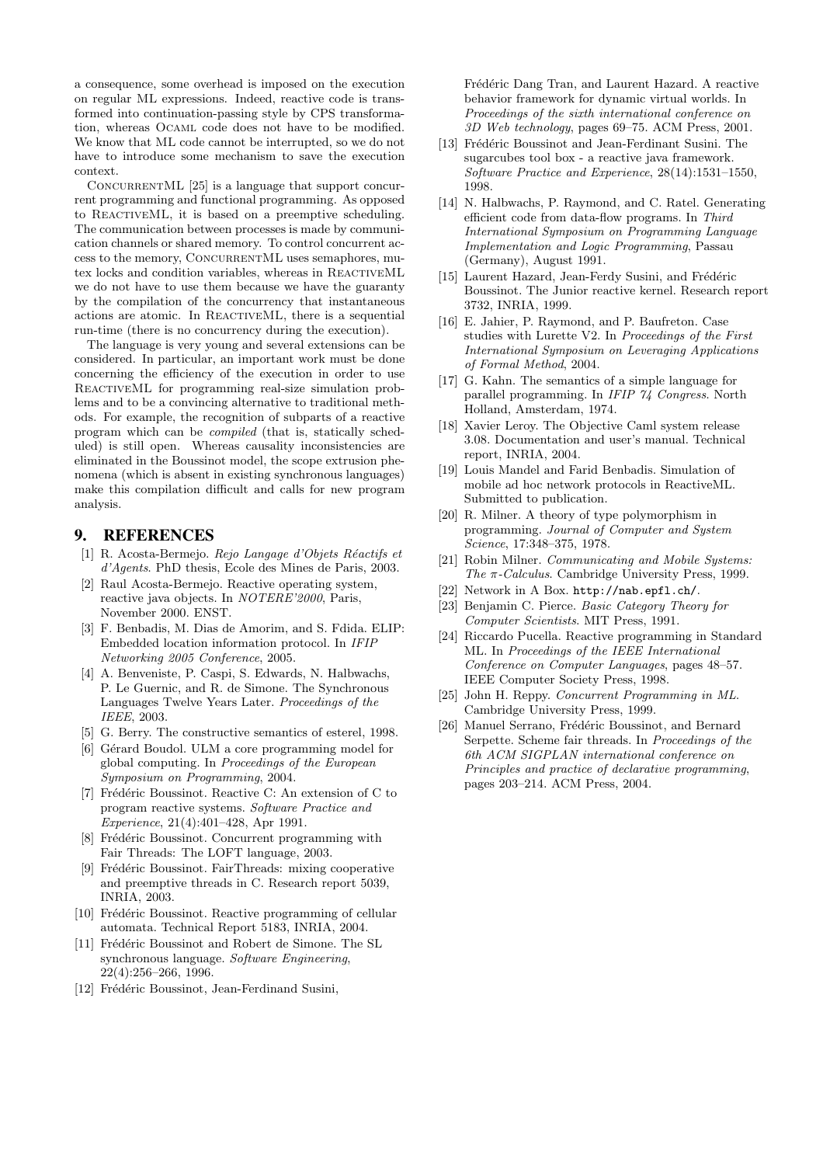a consequence, some overhead is imposed on the execution on regular ML expressions. Indeed, reactive code is transformed into continuation-passing style by CPS transformation, whereas Ocaml code does not have to be modified. We know that ML code cannot be interrupted, so we do not have to introduce some mechanism to save the execution context.

CONCURRENTML  $[25]$  is a language that support concurrent programming and functional programming. As opposed to REACTIVEML, it is based on a preemptive scheduling. The communication between processes is made by communication channels or shared memory. To control concurrent access to the memory, CONCURRENTML uses semaphores, mutex locks and condition variables, whereas in ReactiveML we do not have to use them because we have the guaranty by the compilation of the concurrency that instantaneous actions are atomic. In ReactiveML, there is a sequential run-time (there is no concurrency during the execution).

The language is very young and several extensions can be considered. In particular, an important work must be done concerning the efficiency of the execution in order to use REACTIVEML for programming real-size simulation problems and to be a convincing alternative to traditional methods. For example, the recognition of subparts of a reactive program which can be compiled (that is, statically scheduled) is still open. Whereas causality inconsistencies are eliminated in the Boussinot model, the scope extrusion phenomena (which is absent in existing synchronous languages) make this compilation difficult and calls for new program analysis.

# **9. REFERENCES**

- [1] R. Acosta-Bermejo. Rejo Langage d'Objets Réactifs et d'Agents. PhD thesis, Ecole des Mines de Paris, 2003.
- [2] Raul Acosta-Bermejo. Reactive operating system, reactive java objects. In NOTERE'2000, Paris, November 2000. ENST.
- [3] F. Benbadis, M. Dias de Amorim, and S. Fdida. ELIP: Embedded location information protocol. In IFIP Networking 2005 Conference, 2005.
- [4] A. Benveniste, P. Caspi, S. Edwards, N. Halbwachs, P. Le Guernic, and R. de Simone. The Synchronous Languages Twelve Years Later. Proceedings of the IEEE, 2003.
- [5] G. Berry. The constructive semantics of esterel, 1998.
- [6] Gérard Boudol. ULM a core programming model for global computing. In Proceedings of the European Symposium on Programming, 2004.
- [7] Frédéric Boussinot. Reactive C: An extension of C to program reactive systems. Software Practice and Experience, 21(4):401–428, Apr 1991.
- [8] Frédéric Boussinot. Concurrent programming with Fair Threads: The LOFT language, 2003.
- [9] Frédéric Boussinot. FairThreads: mixing cooperative and preemptive threads in C. Research report 5039, INRIA, 2003.
- [10] Frédéric Boussinot. Reactive programming of cellular automata. Technical Report 5183, INRIA, 2004.
- [11] Frédéric Boussinot and Robert de Simone. The SL synchronous language. Software Engineering, 22(4):256–266, 1996.
- [12] Frédéric Boussinot, Jean-Ferdinand Susini,

Frédéric Dang Tran, and Laurent Hazard. A reactive behavior framework for dynamic virtual worlds. In Proceedings of the sixth international conference on 3D Web technology, pages 69–75. ACM Press, 2001.

- [13] Frédéric Boussinot and Jean-Ferdinant Susini. The sugarcubes tool box - a reactive java framework. Software Practice and Experience, 28(14):1531–1550, 1998.
- [14] N. Halbwachs, P. Raymond, and C. Ratel. Generating efficient code from data-flow programs. In Third International Symposium on Programming Language Implementation and Logic Programming, Passau (Germany), August 1991.
- [15] Laurent Hazard, Jean-Ferdy Susini, and Frédéric Boussinot. The Junior reactive kernel. Research report 3732, INRIA, 1999.
- [16] E. Jahier, P. Raymond, and P. Baufreton. Case studies with Lurette V2. In Proceedings of the First International Symposium on Leveraging Applications of Formal Method, 2004.
- [17] G. Kahn. The semantics of a simple language for parallel programming. In IFIP 74 Congress. North Holland, Amsterdam, 1974.
- [18] Xavier Leroy. The Objective Caml system release 3.08. Documentation and user's manual. Technical report, INRIA, 2004.
- [19] Louis Mandel and Farid Benbadis. Simulation of mobile ad hoc network protocols in ReactiveML. Submitted to publication.
- [20] R. Milner. A theory of type polymorphism in programming. Journal of Computer and System Science, 17:348–375, 1978.
- [21] Robin Milner. Communicating and Mobile Systems: The π-Calculus. Cambridge University Press, 1999.
- [22] Network in A Box. http://nab.epfl.ch/.
- [23] Benjamin C. Pierce. Basic Category Theory for Computer Scientists. MIT Press, 1991.
- [24] Riccardo Pucella. Reactive programming in Standard ML. In Proceedings of the IEEE International Conference on Computer Languages, pages 48–57. IEEE Computer Society Press, 1998.
- [25] John H. Reppy. Concurrent Programming in ML. Cambridge University Press, 1999.
- [26] Manuel Serrano, Frédéric Boussinot, and Bernard Serpette. Scheme fair threads. In Proceedings of the 6th ACM SIGPLAN international conference on Principles and practice of declarative programming, pages 203–214. ACM Press, 2004.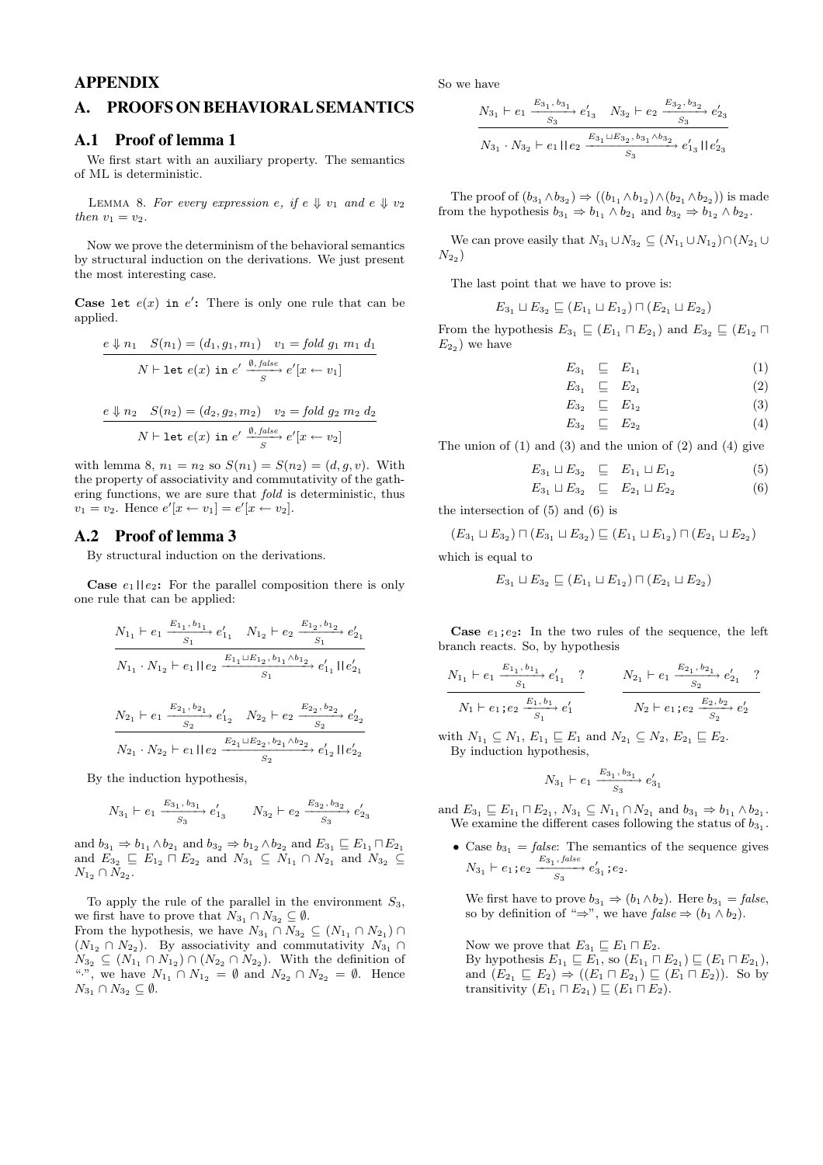# **APPENDIX**

# **A. PROOFSON BEHAVIORALSEMANTICS**

## **A.1 Proof of lemma 1**

We first start with an auxiliary property. The semantics of ML is deterministic.

LEMMA 8. For every expression e, if  $e \Downarrow v_1$  and  $e \Downarrow v_2$ then  $v_1 = v_2$ .

Now we prove the determinism of the behavioral semantics by structural induction on the derivations. We just present the most interesting case.

Case let  $e(x)$  in  $e'$ : There is only one rule that can be applied.

$$
e \Downarrow n_1 \quad S(n_1) = (d_1, g_1, m_1) \quad v_1 = fold \ g_1 \ m_1 \ d_1
$$
\n
$$
N \vdash \text{let } e(x) \text{ in } e' \xrightarrow{0, false} e'[x \leftarrow v_1]
$$
\n
$$
e \Downarrow n_2 \quad S(n_2) = (d_2, g_2, m_2) \quad v_2 = fold \ g_2 \ m_2 \ d_2
$$
\n
$$
N \vdash \text{let } e(x) \text{ in } e' \xrightarrow{0, false} e'[x \leftarrow v_2]
$$

with lemma 8,  $n_1 = n_2$  so  $S(n_1) = S(n_2) = (d, g, v)$ . With the property of associativity and commutativity of the gathering functions, we are sure that fold is deterministic, thus  $v_1 = v_2$ . Hence  $e'[x \leftarrow v_1] = e'[x \leftarrow v_2]$ .

# **A.2 Proof of lemma 3**

By structural induction on the derivations.

**Case**  $e_1||e_2$ : For the parallel composition there is only one rule that can be applied:

$$
\begin{aligned} &N_{1_1} \vdash e_1 \xrightarrow{E_{1_1}, b_{1_1}} e'_{1_1} & N_{1_2} \vdash e_2 \xrightarrow{E_{1_2}, b_{1_2}} e'_{2_1} \\ &N_{1_1} \cdot N_{1_2} \vdash e_1 \mid\mid e_2 \xrightarrow{E_{1_1} \sqcup E_{1_2}, b_{1_1} \wedge b_{1_2}} e'_{1_1} \mid\mid e'_{2_1} \\ &N_{2_1} \vdash e_1 \xrightarrow{E_{2_1}, b_{2_1}} e'_{1_2} & N_{2_2} \vdash e_2 \xrightarrow{E_{2_2}, b_{2_2}} e'_{2_2} \\ &N_{2_1} \cdot N_{2_2} \vdash e_1 \mid\mid e_2 \xrightarrow{E_{2_1} \sqcup E_{2_2}, b_{2_1} \wedge b_{2_2}} e'_{1_2} \mid\mid e'_{2_2} \end{aligned}
$$

By the induction hypothesis,

 $N_{3_1} \cap N_{3_2} \subseteq \emptyset$ .

$$
N_{3_1} \vdash e_1 \xrightarrow{E_{3_1}, b_{3_1}} e'_{1_3} \qquad N_{3_2} \vdash e_2 \xrightarrow{E_{3_2}, b_{3_2}} e'_{2_3}
$$

and  $b_{3_1} \Rightarrow b_{1_1} \wedge b_{2_1}$  and  $b_{3_2} \Rightarrow b_{1_2} \wedge b_{2_2}$  and  $E_{3_1} \sqsubseteq E_{1_1} \sqcap E_{2_1}$ and  $E_{3_2} \subseteq E_{1_2} \sqcap E_{2_2}$  and  $N_{3_1} \subseteq N_{1_1} \cap N_{2_1}$  and  $N_{3_2} \subseteq$  $N_{1_2} \cap N_{2_2}$ .

To apply the rule of the parallel in the environment  $S_3$ , we first have to prove that  $N_{3_1} \cap N_{3_2} \subseteq \emptyset$ . From the hypothesis, we have  $N_{3_1} \cap N_{3_2} \subseteq (N_{1_1} \cap N_{2_1}) \cap$  $(N_{1_2} \cap N_{2_2})$ . By associativity and commutativity  $N_{3_1} \cap$  $N_{3_2} \subseteq (N_{1_1} \cap N_{1_2}) \cap (N_{2_2} \cap N_{2_2})$ . With the definition of ".", we have  $N_{1_1} \cap N_{1_2} = \emptyset$  and  $N_{2_2} \cap N_{2_2} = \emptyset$ . Hence So we have

$$
\frac{N_{3_1} + e_1 \xrightarrow{E_{3_1}, b_{3_1}} e'_{1_3} N_{3_2} + e_2 \xrightarrow{E_{3_2}, b_{3_2}} e'_{2_3}}{N_{3_1} \cdot N_{3_2} + e_1 \parallel e_2 \xrightarrow{E_{3_1} \sqcup E_{3_2}, b_{3_1} \wedge b_{3_2}} e'_{1_3} \parallel e'_{2_3}}
$$

The proof of  $(b_{3_1} \wedge b_{3_2}) \Rightarrow ((b_{1_1} \wedge b_{1_2}) \wedge (b_{2_1} \wedge b_{2_2}))$  is made from the hypothesis  $b_{3_1} \Rightarrow b_{1_1} \wedge b_{2_1}$  and  $b_{3_2} \Rightarrow b_{1_2} \wedge b_{2_2}$ .

We can prove easily that  $N_{3_1} \cup N_{3_2} \subseteq (N_{1_1} \cup N_{1_2}) \cap (N_{2_1} \cup N_{2_2})$  $N_{2_2})$ 

The last point that we have to prove is:

$$
E_{3_1} \sqcup E_{3_2} \sqsubseteq (E_{1_1} \sqcup E_{1_2}) \sqcap (E_{2_1} \sqcup E_{2_2})
$$

From the hypothesis  $E_{3_1} \subseteq (E_{1_1} \sqcap E_{2_1})$  and  $E_{3_2} \subseteq (E_{1_2} \sqcap$  $E_{2_2}$ ) we have

> $E_{3_1} \subseteq E_{1_1}$ (1)

$$
E_{3_1} \subseteq E_{2_1} \tag{2}
$$

$$
E_{3_2} \subseteq E_{1_2} \tag{3}
$$

$$
E_{3_2} \subseteq E_{2_2} \tag{4}
$$

The union of  $(1)$  and  $(3)$  and the union of  $(2)$  and  $(4)$  give

$$
E_{3_1} \sqcup E_{3_2} \subseteq E_{1_1} \sqcup E_{1_2} \tag{5}
$$

$$
E_{3_1} \sqcup E_{3_2} \subseteq E_{2_1} \sqcup E_{2_2} \tag{6}
$$

the intersection of (5) and (6) is

$$
(E_{3_1} \sqcup E_{3_2}) \sqcap (E_{3_1} \sqcup E_{3_2}) \sqsubseteq (E_{1_1} \sqcup E_{1_2}) \sqcap (E_{2_1} \sqcup E_{2_2})
$$

which is equal to

$$
E_{3_1} \sqcup E_{3_2} \sqsubseteq (E_{1_1} \sqcup E_{1_2}) \sqcap (E_{2_1} \sqcup E_{2_2})
$$

**Case**  $e_1$ ; $e_2$ : In the two rules of the sequence, the left branch reacts. So, by hypothesis

$$
\frac{N_{11} + e_1 \xrightarrow{E_{11}, b_{11}} e'_{1_1}}{N_1 + e_1; e_2 \xrightarrow{E_{1}, b_{1}} e'_{1}}
$$
\n
$$
\frac{N_{21} + e_1 \xrightarrow{E_{21}, b_{21}} e'_{2_1}}{N_2 + e_1; e_2 \xrightarrow{E_{2}, b_{2}} e'_{2}}
$$
\n
$$
\frac{N_{31} + e_1 \xrightarrow{E_{31}, b_{31}} e'_{1}}{N_3 + e_1; e_2 \xrightarrow{E_{32}, b_{2}} e'_{2}}
$$

with  $N_{1_1} \subseteq N_1$ ,  $E_{1_1} \sqsubseteq E_1$  and  $N_{2_1} \subseteq N_2$ ,  $E_{2_1} \sqsubseteq E_2$ . By induction hypothesis,

$$
N_{3_1}\vdash e_1\xrightarrow{E_{3_1},\, b_{3_1}}e'_{3_1}
$$

and  $E_{3_1} \sqsubseteq E_{1_1} \sqcap E_{2_1}$ ,  $N_{3_1} \subseteq N_{1_1} \cap N_{2_1}$  and  $b_{3_1} \Rightarrow b_{1_1} \wedge b_{2_1}$ . We examine the different cases following the status of  $b_{3_1}$ .

• Case  $b_{31}$  = false: The semantics of the sequence gives  $N_{3_1} \vdash e_1; e_2 \xrightarrow{E_{3_1}, false} e'_{3_1}; e_2.$ 

We first have to prove  $b_{3_1} \Rightarrow (b_1 \wedge b_2)$ . Here  $b_{3_1} = false$ , so by definition of "⇒", we have  $false \Rightarrow (b_1 \land b_2)$ .

Now we prove that  $E_{3_1} \sqsubseteq E_1 \sqcap E_2$ . By hypothesis  $E_{1_1} \sqsubseteq E_1$ , so  $(E_{1_1} \sqcap E_{2_1}) \sqsubseteq (E_1 \sqcap E_{2_1})$ , and  $(E_{2_1} \sqsubseteq E_2) \Rightarrow ((E_1 \sqcap E_{2_1}) \sqsubseteq (E_1 \sqcap E_2))$ . So by transitivity  $(E_{1_1} \sqcap E_{2_1}) \sqsubseteq (E_1 \sqcap E_2)$ .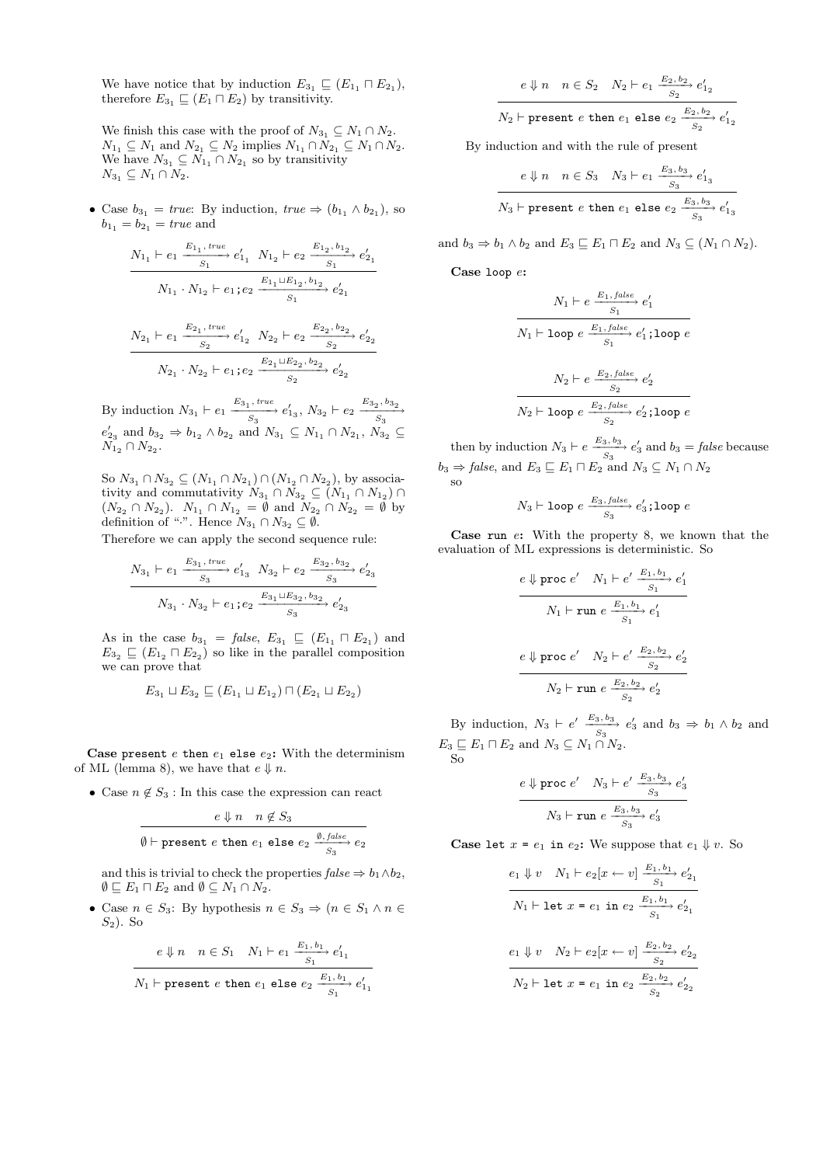We have notice that by induction  $E_{3_1} \subseteq (E_{1_1} \sqcap E_{2_1}),$ therefore  $E_{3_1} \subseteq (E_1 \sqcap E_2)$  by transitivity.

We finish this case with the proof of  $N_{3_1} \subseteq N_1 \cap N_2$ .  $N_{1_1} \subseteq N_1$  and  $N_{2_1} \subseteq N_2$  implies  $N_{1_1} \cap N_{2_1} \subseteq N_1 \cap N_2$ . We have  $N_{3_1} \subseteq N_{1_1} \cap N_{2_1}$  so by transitivity  $N_{3_1} \subseteq N_1 \cap N_2$ .

• Case  $b_{3_1}$  = true: By induction, true  $\Rightarrow$   $(b_{1_1} \wedge b_{2_1})$ , so  $b_{1_1} = b_{2_1} = true$  and

$$
\begin{aligned}[t]\frac{N_{1_1} + e_1 \xrightarrow{E_{1_1}, true} e_{1_1}'}{S_1} &\; e_{1_1}' \ N_{1_2} + e_2 \xrightarrow{E_{1_2}, b_{1_2}} e_{2_1}'}{S_1}\\ \hline N_{1_1} \cdot N_{1_2} + e_1 \, &; e_2 \xrightarrow{E_{1_1} \sqcup E_{1_2}, b_{1_2}} e_{2_1}'\\ \hline S_2 + e_1 \xrightarrow{E_{2_1}, true} e_{1_2}' \ N_{2_2} + e_2 \xrightarrow{E_{2_2}, b_{2_2}} e_{2_2}'\\ \hline N_{2_1} \cdot N_{2_2} + e_1 \, &; e_2 \xrightarrow{E_{2_1} \sqcup E_{2_2}, b_{2_2}} e_{2_2}'\\ \end{aligned}
$$

By induction  $N_{3_1} \vdash e_1 \xrightarrow{E_{3_1}, \text{true}} e'_{1_3}, N_{3_2} \vdash e_2 \xrightarrow{E_{3_2}, b_{3_2}} s_3$  $e'_{23}$  and  $b_{32} \Rightarrow b_{12} \wedge b_{22}$  and  $N_{31} \subseteq N_{11} \cap N_{21}$ ,  $N_{32} \subseteq$  $N_{1_2} \cap N_{2_2}$ .

So  $N_{3_1} \cap N_{3_2} \subseteq (N_{1_1} \cap N_{2_1}) \cap (N_{1_2} \cap N_{2_2})$ , by associativity and commutativity  $N_{3_1} \cap N_{3_2} \subseteq (N_{1_1} \cap N_{1_2}) \cap$  $(N_{2_2} \cap N_{2_2})$ .  $N_{1_1} \cap N_{1_2} = \emptyset$  and  $N_{2_2} \cap N_{2_2} = \emptyset$  by definition of "·". Hence  $N_{3_1} \cap N_{3_2} \subseteq \emptyset$ .

Therefore we can apply the second sequence rule:

$$
\frac{N_{3_1} + e_1 \xrightarrow{E_{3_1}, \, true} e'_1}{S_3} e'_{1_3} N_{3_2} + e_2 \xrightarrow{E_{3_2}, \, b_{3_2}} e'_{2_3}
$$
  

$$
N_{3_1} \cdot N_{3_2} + e_1; e_2 \xrightarrow{E_{3_1} \sqcup E_{3_2}, \, b_{3_2}} e'_{2_3}
$$

As in the case  $b_{3_1} = false$ ,  $E_{3_1} \subseteq (E_{1_1} \sqcap E_{2_1})$  and  $E_{3_2} \subseteq (E_{1_2} \sqcap E_{2_2})$  so like in the parallel composition we can prove that

$$
E_{3_1} \sqcup E_{3_2} \sqsubseteq (E_{1_1} \sqcup E_{1_2}) \sqcap (E_{2_1} \sqcup E_{2_2})
$$

Case present  $e$  then  $e_1$  else  $e_2$ : With the determinism of ML (lemma 8), we have that  $e \Downarrow n$ .

• Case  $n \notin S_3$ : In this case the expression can react

$$
\cfrac{e \Downarrow n \quad n \not\in S_3}{\emptyset \vdash \text{present } e \text{ then } e_1 \text{ else } e_2 \xrightarrow{0, false} e_2}
$$

and this is trivial to check the properties  $false \Rightarrow b_1 \wedge b_2$ ,  $\emptyset \sqsubseteq E_1 \sqcap E_2$  and  $\emptyset \subseteq N_1 \cap N_2$ .

• Case  $n \in S_3$ : By hypothesis  $n \in S_3 \Rightarrow (n \in S_1 \land n \in S_2)$  $S_2$ ). So

$$
e \Downarrow n \quad n \in S_1 \quad N_1 \vdash e_1 \xrightarrow{E_1, b_1} e'_1
$$

$$
N_1 \vdash \text{present } e \text{ then } e_1 \text{ else } e_2 \xrightarrow{E_1, b_1} e'_1
$$

$$
e \Downarrow n \quad n \in S_2 \quad N_2 \vdash e_1 \xrightarrow[S_2]{E_2, b_2} e'_{1_2}
$$

$$
N_2 \vdash \text{present } e \text{ then } e_1 \text{ else } e_2 \xrightarrow[S_2]{} e'_{1_2}
$$

By induction and with the rule of present

$$
e \Downarrow n \quad n \in S_3 \quad N_3 \vdash e_1 \xrightarrow{E_3, b_3} e'_{1_3}
$$

$$
N_3 \vdash \text{present } e \text{ then } e_1 \text{ else } e_2 \xrightarrow{E_3, b_3} e'_{1_3}
$$

and  $b_3 \Rightarrow b_1 \wedge b_2$  and  $E_3 \sqsubseteq E_1 \sqcap E_2$  and  $N_3 \subseteq (N_1 \cap N_2)$ .

Case loop e:

$$
N_1 \vdash e \xrightarrow{E_1, false} e'_1
$$
\n
$$
N_1 \vdash \text{loop } e \xrightarrow{E_1, false} e'_1; \text{loop } e
$$
\n
$$
N_2 \vdash e \xrightarrow{E_2, false} e'_2
$$
\n
$$
N_2 \vdash \text{loop } e \xrightarrow{E_2, false} e'_2; \text{loop } e
$$

then by induction  $N_3 \vdash e \xrightarrow{E_3, b_3} e'_3$  and  $b_3 = false$  because  $b_3 \Rightarrow false$ , and  $E_3 \sqsubseteq E_1 \sqcap E_2$  and  $N_3 \subseteq N_1 \cap N_2$ so

$$
N_3 \vdash \texttt{loop} \ e \xrightarrow[S_3]{E_3, false} e'_3 \texttt{;loop} \ e
$$

Case run e: With the property 8, we known that the evaluation of ML expressions is deterministic. So

$$
e \Downarrow \text{proc } e' \quad N_1 \vdash e' \frac{E_1, b_1}{S_1} e'_1
$$
\n
$$
N_1 \vdash \text{run } e \xrightarrow{E_1, b_1} e'_1
$$
\n
$$
e \Downarrow \text{proc } e' \quad N_2 \vdash e' \xrightarrow{E_2, b_2} e'_2
$$
\n
$$
N_2 \vdash \text{run } e \xrightarrow{E_2, b_2} e'_2
$$

By induction,  $N_3 \vdash e' \xrightarrow{E_3, b_3} e'_3$  and  $b_3 \Rightarrow b_1 \wedge b_2$  and  $E_3 \sqsubseteq E_1 \sqcap E_2$  and  $N_3 \subseteq N_1 \cap N_2$ . So

$$
\cfrac{e \Downarrow \text{proc } e' - N_3 \vdash e' \xrightarrow{E_3, b_3} e'_3}{N_3 \vdash \text{run } e \xrightarrow{E_3, b_3} e'_3}
$$

**Case let**  $x = e_1$  in  $e_2$ : We suppose that  $e_1 \Downarrow v$ . So

$$
e_1 \Downarrow v \quad N_1 \vdash e_2[x \leftarrow v] \quad \frac{E_1, b_1}{S_1} \cdot e'_{21}
$$
\n
$$
N_1 \vdash \text{let } x = e_1 \text{ in } e_2 \xrightarrow{E_1, b_1} e'_{21}
$$
\n
$$
e_1 \Downarrow v \quad N_2 \vdash e_2[x \leftarrow v] \xrightarrow{E_2, b_2} e'_{22}
$$
\n
$$
N_2 \vdash \text{let } x = e_1 \text{ in } e_2 \xrightarrow{E_2, b_2} e'_{22}
$$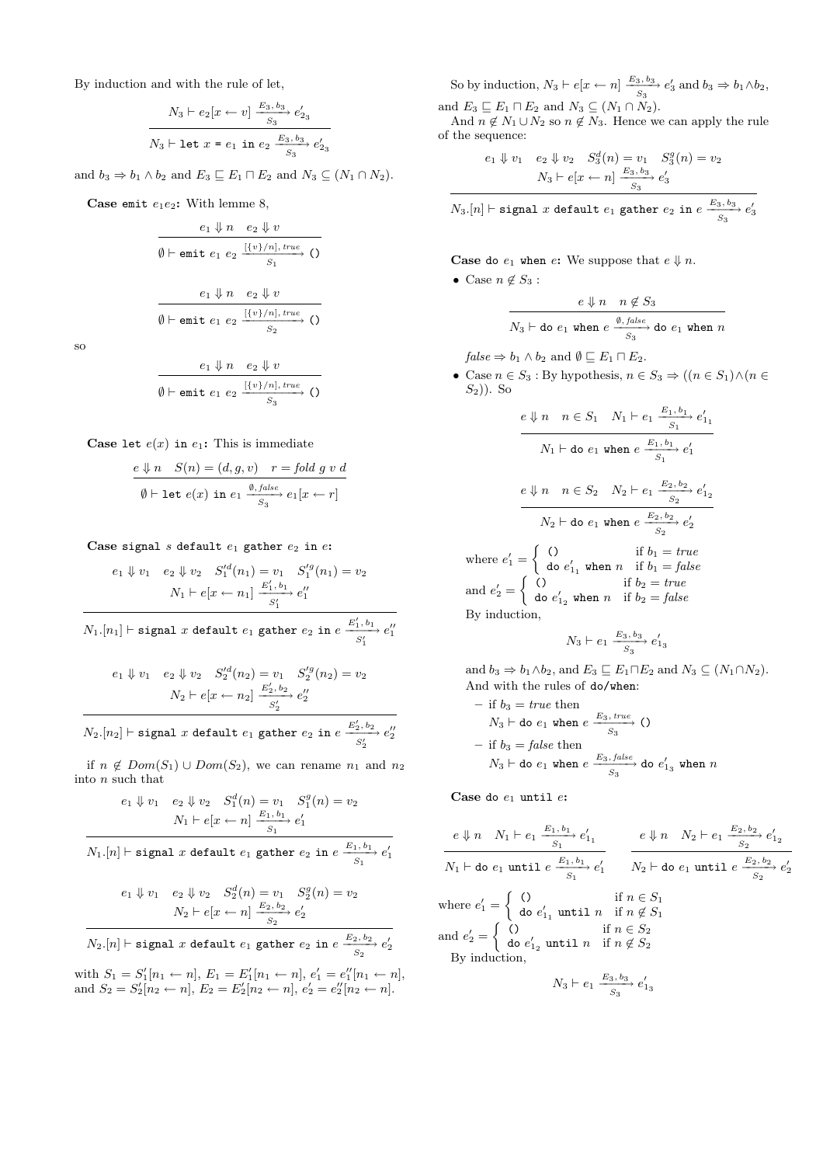By induction and with the rule of let,

$$
N_3 \vdash e_2[x \leftarrow v] \xrightarrow{E_3, b_3} e'_{2_3}
$$
  

$$
N_3 \vdash \text{let } x = e_1 \text{ in } e_2 \xrightarrow{E_3, b_3} e'_{2_3}
$$

and  $b_3 \Rightarrow b_1 \wedge b_2$  and  $E_3 \sqsubseteq E_1 \sqcap E_2$  and  $N_3 \subseteq (N_1 \cap N_2)$ .

Case emit  $e_1e_2$ : With lemme 8,

$$
e_1 \Downarrow n \quad e_2 \Downarrow v
$$
\n
$$
\emptyset \vdash \text{emit } e_1 \ e_2 \xrightarrow{[\{v\}/n], \text{true}} \text{()}
$$
\n
$$
e_1 \Downarrow n \quad e_2 \Downarrow v
$$
\n
$$
\emptyset \vdash \text{emit } e_1 \ e_2 \xrightarrow{[\{v\}/n], \text{true}} \text{()}
$$

so

$$
\frac{e_1 \Downarrow n \quad e_2 \Downarrow v}{\emptyset \vdash \texttt{emit } e_1 \ e_2 \xrightarrow{\{ \{v\}/n \}, \ true}_{S_3} \bullet)}
$$

Case let  $e(x)$  in  $e_1$ : This is immediate

$$
\frac{e \Downarrow n \quad S(n) = (d, g, v) \quad r = fold \ g \ v \ d}{\emptyset \vdash \text{let } e(x) \text{ in } e_1 \xrightarrow{0, false} e_1[x \leftarrow r]}
$$

#### Case signal s default  $e_1$  gather  $e_2$  in  $e$ :

$$
e_1 \Downarrow v_1 \quad e_2 \Downarrow v_2 \quad S_1^{\prime d}(n_1) = v_1 \quad S_1^{\prime g}(n_1) = v_2
$$

$$
N_1 \vdash e[x \leftarrow n_1] \xrightarrow[S_1^{\prime}]{E_1^{\prime}, b_1} e_1^{\prime \prime}
$$

$$
N_1.[n_1]\vdash \texttt{signal}\ x\ \texttt{default}\ e_1\ \texttt{gather}\ e_2\ \texttt{in}\ e\stackrel{E_1',b_1}{\underset{S_1'}{\longrightarrow}} e_1''
$$

$$
e_1 \Downarrow v_1 \quad e_2 \Downarrow v_2 \quad S_2'^d(n_2) = v_1 \quad S_2'^g(n_2) = v_2
$$

$$
N_2 \vdash e[x \leftarrow n_2] \xrightarrow[S_2']{} e_2''
$$

$$
N_2.[n_2]\vdash \texttt{signal}\; x\;\texttt{default}\; e_1\;\texttt{gather}\; e_2\;\texttt{in}\; e\; \frac{E_2',b_2}{S_2'}\; e_2''
$$

if  $n \notin Dom(S_1) \cup Dom(S_2)$ , we can rename  $n_1$  and  $n_2$ into  $n$  such that

$$
e_1 \Downarrow v_1 \quad e_2 \Downarrow v_2 \quad S_1^d(n) = v_1 \quad S_1^g(n) = v_2
$$
\n
$$
N_1 \vdash e[x \leftarrow n] \xrightarrow{E_1, b_1} e'_1
$$
\n
$$
N_1.[n] \vdash \text{signal } x \text{ default } e_1 \text{ gather } e_2 \text{ in } e \xrightarrow{E_1, b_1} e'_1
$$
\n
$$
e_1 \Downarrow v_1 \quad e_2 \Downarrow v_2 \quad S_2^d(n) = v_1 \quad S_2^g(n) = v_2
$$

$$
e_1 \psi c_1 e_2 \psi c_2 \psi c_2 \psi c_1 - c_1 \psi c_2
$$
  

$$
N_2 \vdash e[x \leftarrow n] \frac{E_2, b_2}{S_2} e'_2
$$

$$
N_2.[n] \vdash \text{signal } x \text{ default } e_1 \text{ gather } e_2 \text{ in } e \xrightarrow{E_2, b_2} e'_2
$$

with  $S_1 = S'_1[n_1 \leftarrow n], E_1 = E'_1[n_1 \leftarrow n], e'_1 = e''_1[n_1 \leftarrow n],$ and  $S_2 = S_2'[n_2 \leftarrow n], E_2 = E_2'[n_2 \leftarrow n], e_2' = e_2''[n_2 \leftarrow n].$ 

So by induction,  $N_3 \vdash e[x \leftarrow n] \frac{E_3, b_3}{S_3} e'_3$  and  $b_3 \Rightarrow b_1 \wedge b_2$ , and  $E_3 \sqsubseteq E_1 \sqcap E_2$  and  $N_3 \subseteq (N_1 \cap N_2)$ .

And  $n \notin N_1 \cup N_2$  so  $n \notin N_3$ . Hence we can apply the rule of the sequence:

$$
e_1 \Downarrow v_1 \quad e_2 \Downarrow v_2 \quad S_3^d(n) = v_1 \quad S_3^g(n) = v_2
$$

$$
N_3 \vdash e[x \leftarrow n] \xrightarrow[S_3]{E_3, b_3} e'_3
$$

 $N_3.[n] \vdash \texttt{signal}\; x \;\texttt{default}\; e_1 \;\texttt{gather}\; e_2 \;\texttt{in}\; e \; \frac{E_3,b_3}{S_3} \; e_3'$ 

**Case do**  $e_1$  when  $e$ : We suppose that  $e \Downarrow n$ .

• Case  $n \notin S_3$ :

$$
\cfrac{e \Downarrow n \quad n \not\in S_3}{N_3 \vdash \text{do } e_1 \text{ when } e \xrightarrow{0, false} \text{do } e_1 \text{ when } n}
$$

 $false \Rightarrow b_1 \land b_2$  and  $\emptyset \sqsubseteq E_1 \sqcap E_2$ .

• Case  $n \in S_3$ : By hypothesis,  $n \in S_3 \Rightarrow ((n \in S_1) \land (n \in S_2))$  $S_2)$ ). So

$$
e \Downarrow n \quad n \in S_1 \quad N_1 \vdash e_1 \frac{E_1, b_1}{S_1} e'_{11}
$$
\n
$$
N_1 \vdash \text{do } e_1 \text{ when } e \xrightarrow{E_1, b_1} e'_{1}
$$
\n
$$
e \Downarrow n \quad n \in S_2 \quad N_2 \vdash e_1 \xrightarrow{E_2, b_2} e'_{12}
$$
\n
$$
N_2 \vdash \text{do } e_1 \text{ when } e \xrightarrow{E_2, b_2} e'_{2}
$$
\n
$$
\text{where } e'_1 = \left\{ \begin{array}{ll} () & \text{if } b_1 = true \\ \text{do } e'_{11} \text{ when } n & \text{if } b_1 = false \end{array} \right.
$$

and  $e'_2 = \begin{cases} 0 & \text{if } b_2 = true \\ \text{d}e e' & \text{when } n \text{ if } b_2 = false \end{cases}$ do  $e'_{12}$  when  $n$  if  $b_2 = false$ By induction,

$$
N_3\vdash e_1\xrightarrow{E_3,\,b_3}e'_{1_3}
$$

and  $b_3 \Rightarrow b_1 \wedge b_2$ , and  $E_3 \sqsubseteq E_1 \sqcap E_2$  and  $N_3 \subseteq (N_1 \cap N_2)$ . And with the rules of do/when:

- if 
$$
b_3
$$
 = true then  
\n $N_3 \vdash \text{do } e_1$  when  $e \xrightarrow{E_3, true} S_3$  ()  
\n- if  $b_3$  = false then  
\n $N_3 \vdash \text{do } e_1$  when  $e \xrightarrow{E_3, false} \text{do } e'_{1_3}$  when *n*

Case do  $e_1$  until  $e$ :

$$
e \Downarrow n \quad N_1 \vdash e_1 \xrightarrow{E_1, b_1} e'_1
$$
\n
$$
e \Downarrow n \quad N_2 \vdash e_1 \xrightarrow{E_2, b_2} e'_1
$$
\n
$$
N_1 \vdash \text{do } e_1 \text{ until } e \xrightarrow{E_1, b_1} e'_1
$$
\n
$$
e \Downarrow n \quad N_2 \vdash e_1 \xrightarrow{E_2, b_2} e'_1
$$
\n
$$
N_2 \vdash \text{do } e_1 \text{ until } e \xrightarrow{E_2, b_2} e'_2
$$
\n
$$
\text{where } e'_1 = \begin{cases} \n\text{O} & \text{if } n \in S_1 \\ \n\text{do } e'_1 \text{ until } n & \text{if } n \notin S_1 \n\end{cases}
$$
\n
$$
\text{and } e'_2 = \begin{cases} \n\text{O} & \text{if } n \in S_2 \\ \n\text{do } e'_1 \text{ until } n & \text{if } n \notin S_2 \n\end{cases}
$$
\n
$$
\text{By induction,}
$$

$$
N_3 \vdash e_1 \xrightarrow{E_3, b_3} e'_{1_3}
$$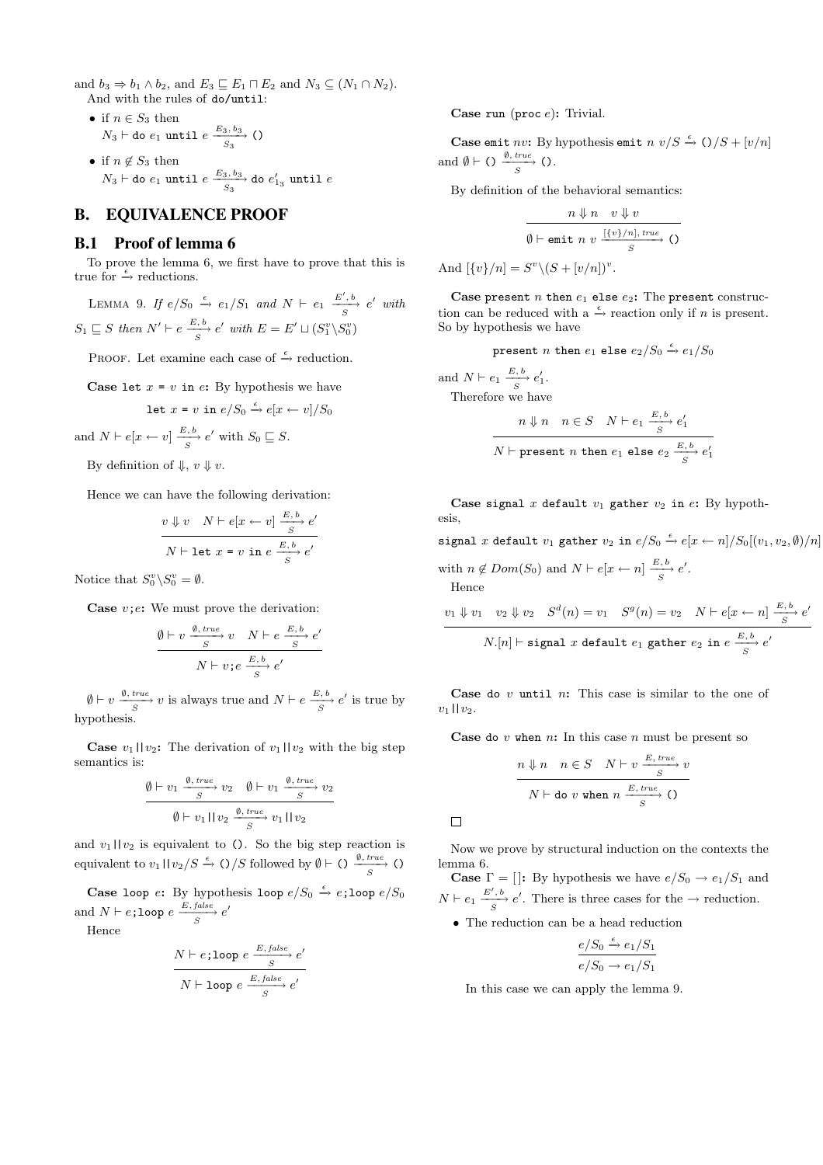and  $b_3 \Rightarrow b_1 \wedge b_2$ , and  $E_3 \sqsubseteq E_1 \sqcap E_2$  and  $N_3 \subseteq (N_1 \cap N_2)$ . And with the rules of do/until:

- if  $n \in S_3$  then  $N_3 \vdash$  do  $e_1$  until  $e \xrightarrow[{\scriptstyle S_3, \,b_3 \atop \scriptstyle S_3} )$  ()
- if  $n \notin S_3$  then  $N_3 \vdash$  do  $e_1$  until  $e \xrightarrow[{\cal S}_3]{\cal E}_3}$  do  $e'_{1_3}$  until  $e$

# **B. EQUIVALENCE PROOF**

#### **B.1 Proof of lemma 6**

To prove the lemma 6, we first have to prove that this is true for  $\xrightarrow{\epsilon}$  reductions.

LEMMA 9. If  $e/S_0 \stackrel{\epsilon}{\rightarrow} e_1/S_1$  and  $N \vdash e_1 \stackrel{E', b}{\rightarrow} e'$  with  $S_1 \sqsubseteq S$  then  $N' \vdash e \frac{E, b}{S} e'$  with  $E = E' \sqcup (S_1^v \backslash S_0^v)$ 

PROOF. Let examine each case of  $\stackrel{\epsilon}{\rightarrow}$  reduction.

**Case** let 
$$
x = v
$$
 in  $e$ : By hypothesis we have

$$
\text{let } x = v \text{ in } e/S_0 \xrightarrow{\epsilon} e[x \leftarrow v]/S_0
$$

and 
$$
N \vdash e[x \leftarrow v] \xrightarrow[S]{E, b} e'
$$
 with  $S_0 \sqsubseteq S$ .

By definition of  $\Downarrow$ ,  $v \Downarrow v$ .

Hence we can have the following derivation:

$$
v \Downarrow v \quad N \vdash e[x \leftarrow v] \xrightarrow[S]{E, b} e'
$$

$$
N \vdash \text{let } x = v \text{ in } e \xrightarrow[S]{E, b} e'
$$

Notice that  $S_0^v \backslash S_0^v = \emptyset$ .

**Case**  $v;e$ : We must prove the derivation:

$$
\frac{\emptyset \vdash v \xrightarrow{0, \, true} v \quad N \vdash e \xrightarrow{E, \, b} e'}{S} \cdot v
$$
\n
$$
N \vdash v; e \xrightarrow{E, \, b} e'
$$

 $\emptyset \vdash v \xrightarrow[S]{\emptyset, true} v$  is always true and  $N \vdash e \xrightarrow[S]{E, b} e'$  is true by hypothesis.

**Case**  $v_1||v_2$ : The derivation of  $v_1||v_2$  with the big step semantics is:

$$
\frac{\emptyset \vdash v_1 \xrightarrow{0, \, true \atop S} v_2 \quad \emptyset \vdash v_1 \xrightarrow{0, \, true \atop S} v_2}{\emptyset \vdash v_1 \, || \, v_2 \xrightarrow{0, \, true \atop S} v_1 \, || \, v_2}
$$

and  $v_1||v_2$  is equivalent to (). So the big step reaction is equivalent to  $v_1 \parallel v_2 / S \stackrel{\epsilon}{\rightarrow} O/S$  followed by  $\emptyset \vdash O \xrightarrow{0, true} O$ 

Case loop  $e$ : By hypothesis loop  $e/S_0 \stackrel{\epsilon}{\rightarrow} e$ ;loop  $e/S_0$ and  $N \vdash e$ ; loop  $e \xrightarrow[S]{E, false} e'$ 

Hence

$$
\frac{N \vdash e; \text{loop } e \xrightarrow{E, false} e'}{S} \cdot k'
$$

$$
N \vdash \text{loop } e \xrightarrow{E, false} e'
$$

Case run (proc e): Trivial.

Case emit nv: By hypothesis emit n v/S  $\stackrel{\epsilon}{\rightarrow}$  ()/S + [v/n] and  $\emptyset \vdash \bigcirc \xrightarrow[S]{\emptyset, true} \bigcirc$ .

By definition of the behavioral semantics:

$$
\frac{n \downarrow n \quad v \downarrow v}{\emptyset \vdash \text{emit } n \quad v} \xrightarrow{\left[\{v\}/n\right], \text{true}}_{S}()
$$

n v n v v n v

And  $[\{v\}/n] = S^v \setminus (S + [v/n])^v$ .

Case present *n* then  $e_1$  else  $e_2$ : The present construction can be reduced with a  $\xrightarrow{\epsilon}$  reaction only if n is present. So by hypothesis we have

present *n* then 
$$
e_1
$$
 else  $e_2/S_0 \xrightarrow{\epsilon} e_1/S_0$ 

and  $N \vdash e_1 \xrightarrow[S]{E, b} e'_1$ . Therefore we have

$$
\cfrac{n \Downarrow n \quad n \in S \quad N \vdash e_1 \xrightarrow{E, b} e_1'}{N \vdash \texttt{present } n \texttt{ then } e_1 \texttt{ else } e_2 \xrightarrow{E, b} e_1'}
$$

Case signal  $x$  default  $v_1$  gather  $v_2$  in  $e$ : By hypothesis,

signal x default  $v_1$  gather  $v_2$  in  $e/S_0 \overset{\epsilon}{\to} e[x \leftarrow n]/S_0[(v_1, v_2, \emptyset)/n]$ with  $n \notin Dom(S_0)$  and  $N \vdash e[x \leftarrow n] \xrightarrow[S]{E, b} e'.$ Hence  $v_1 \Downarrow v_1$   $v_2 \Downarrow v_2$   $S^d(n) = v_1$   $S^g(n) = v_2$   $N \vdash e[x \leftarrow n] \frac{E, b}{S} e'$ 

$$
N.[n] \vdash \mathtt{signal}\; x\;\mathtt{default}\; e_1\;\mathtt{gather}\; e_2\;\mathtt{in}\; e\xrightarrow[S]{} e'
$$

**Case** do  $v$  until  $n$ : This case is similar to the one of  $v_1$   $||v_2$ .

Case do  $v$  when  $n$ : In this case  $n$  must be present so

$$
\frac{n \Downarrow n \quad n \in S \quad N \vdash v \xrightarrow{E, true} v}{N \vdash \text{do } v \text{ when } n \xrightarrow{E, true} \text{()}}
$$

 $\Box$ 

Now we prove by structural induction on the contexts the lemma 6.

**Case**  $\Gamma = []$ : By hypothesis we have  $e/S_0 \rightarrow e_1/S_1$  and  $N \vdash e_1 \frac{E', b}{S} e'.$  There is three cases for the  $\rightarrow$  reduction.

• The reduction can be a head reduction

$$
\frac{e/S_0 \xrightarrow{\epsilon} e_1/S_1}{e/S_0 \to e_1/S_1}
$$

In this case we can apply the lemma 9.